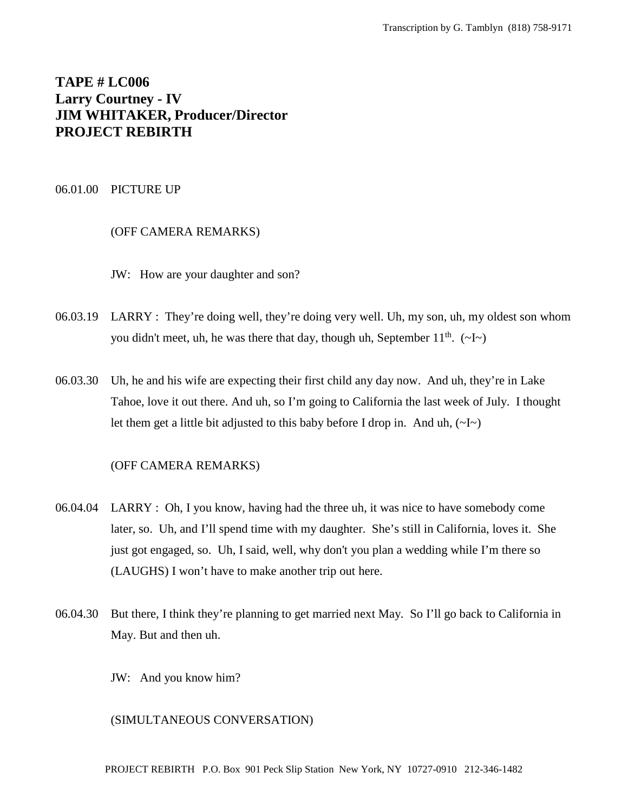# **TAPE # LC006 Larry Courtney - IV JIM WHITAKER, Producer/Director PROJECT REBIRTH**

#### 06.01.00 PICTURE UP

# (OFF CAMERA REMARKS)

- JW: How are your daughter and son?
- 06.03.19 LARRY : They're doing well, they're doing very well. Uh, my son, uh, my oldest son whom you didn't meet, uh, he was there that day, though uh, September  $11^{th}$ . (~I~)
- 06.03.30 Uh, he and his wife are expecting their first child any day now. And uh, they're in Lake Tahoe, love it out there. And uh, so I'm going to California the last week of July. I thought let them get a little bit adjusted to this baby before I drop in. And uh,  $(\sim I \sim)$

## (OFF CAMERA REMARKS)

- 06.04.04 LARRY : Oh, I you know, having had the three uh, it was nice to have somebody come later, so. Uh, and I'll spend time with my daughter. She's still in California, loves it. She just got engaged, so. Uh, I said, well, why don't you plan a wedding while I'm there so (LAUGHS) I won't have to make another trip out here.
- 06.04.30 But there, I think they're planning to get married next May. So I'll go back to California in May. But and then uh.
	- JW: And you know him?

#### (SIMULTANEOUS CONVERSATION)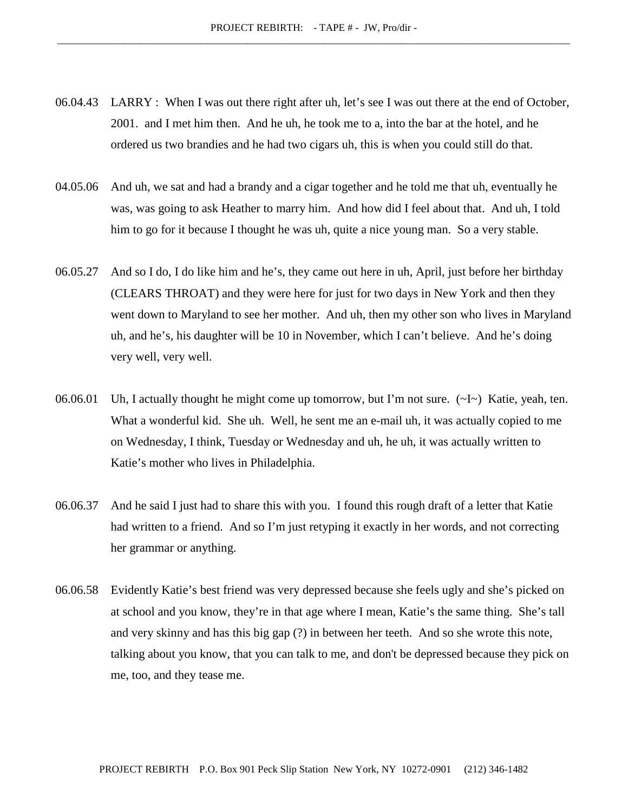- 06.04.43 LARRY : When I was out there right after uh, let's see I was out there at the end of October, 2001. and I met him then. And he uh, he took me to a, into the bar at the hotel, and he ordered us two brandies and he had two cigars uh, this is when you could still do that.
- 04.05.06 And uh, we sat and had a brandy and a cigar together and he told me that uh, eventually he was, was going to ask Heather to marry him. And how did I feel about that. And uh, I told him to go for it because I thought he was uh, quite a nice young man. So a very stable.
- 06.05.27 And so I do, I do like him and he's, they came out here in uh, April, just before her birthday (CLEARS THROAT) and they were here for just for two days in New York and then they went down to Maryland to see her mother. And uh, then my other son who lives in Maryland uh, and he's, his daughter will be 10 in November, which I can't believe. And he's doing very well, very well.
- 06.06.01 Uh, I actually thought he might come up tomorrow, but I'm not sure.  $(\sim I \sim)$  Katie, yeah, ten. What a wonderful kid. She uh. Well, he sent me an e-mail uh, it was actually copied to me on Wednesday, I think, Tuesday or Wednesday and uh, he uh, it was actually written to Katie's mother who lives in Philadelphia.
- 06.06.37 And he said I just had to share this with you. I found this rough draft of a letter that Katie had written to a friend. And so I'm just retyping it exactly in her words, and not correcting her grammar or anything.
- 06.06.58 Evidently Katie's best friend was very depressed because she feels ugly and she's picked on at school and you know, they're in that age where I mean, Katie's the same thing. She's tall and very skinny and has this big gap (?) in between her teeth. And so she wrote this note, talking about you know, that you can talk to me, and don't be depressed because they pick on me, too, and they tease me.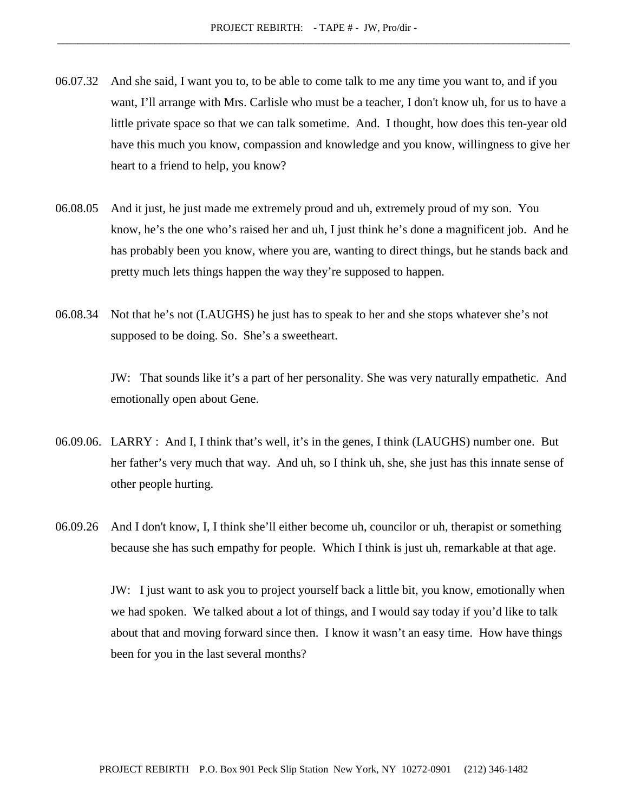- 06.07.32 And she said, I want you to, to be able to come talk to me any time you want to, and if you want, I'll arrange with Mrs. Carlisle who must be a teacher, I don't know uh, for us to have a little private space so that we can talk sometime. And. I thought, how does this ten-year old have this much you know, compassion and knowledge and you know, willingness to give her heart to a friend to help, you know?
- 06.08.05 And it just, he just made me extremely proud and uh, extremely proud of my son. You know, he's the one who's raised her and uh, I just think he's done a magnificent job. And he has probably been you know, where you are, wanting to direct things, but he stands back and pretty much lets things happen the way they're supposed to happen.
- 06.08.34 Not that he's not (LAUGHS) he just has to speak to her and she stops whatever she's not supposed to be doing. So. She's a sweetheart.

JW: That sounds like it's a part of her personality. She was very naturally empathetic. And emotionally open about Gene.

- 06.09.06. LARRY : And I, I think that's well, it's in the genes, I think (LAUGHS) number one. But her father's very much that way. And uh, so I think uh, she, she just has this innate sense of other people hurting.
- 06.09.26 And I don't know, I, I think she'll either become uh, councilor or uh, therapist or something because she has such empathy for people. Which I think is just uh, remarkable at that age.

JW: I just want to ask you to project yourself back a little bit, you know, emotionally when we had spoken. We talked about a lot of things, and I would say today if you'd like to talk about that and moving forward since then. I know it wasn't an easy time. How have things been for you in the last several months?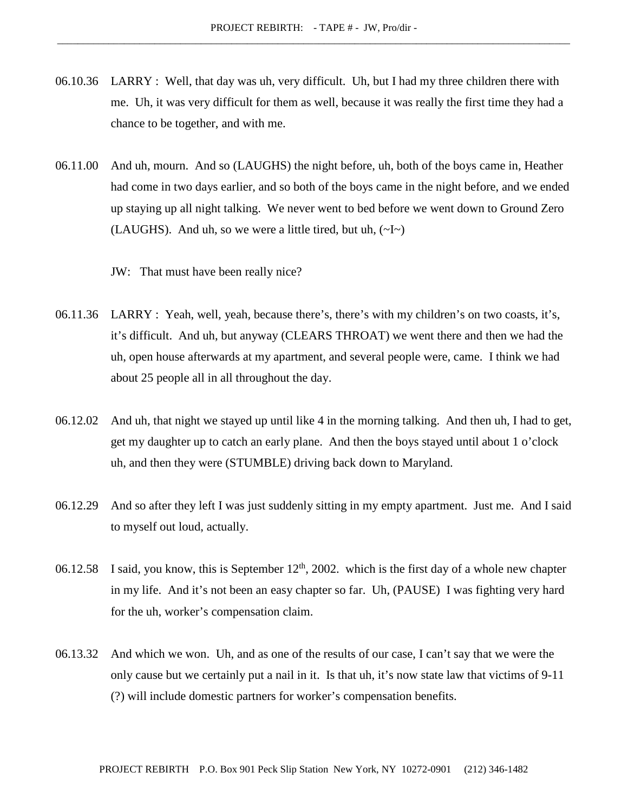- 06.10.36 LARRY : Well, that day was uh, very difficult. Uh, but I had my three children there with me. Uh, it was very difficult for them as well, because it was really the first time they had a chance to be together, and with me.
- 06.11.00 And uh, mourn. And so (LAUGHS) the night before, uh, both of the boys came in, Heather had come in two days earlier, and so both of the boys came in the night before, and we ended up staying up all night talking. We never went to bed before we went down to Ground Zero (LAUGHS). And uh, so we were a little tired, but uh,  $(\sim] \sim$ )

JW: That must have been really nice?

- 06.11.36 LARRY : Yeah, well, yeah, because there's, there's with my children's on two coasts, it's, it's difficult. And uh, but anyway (CLEARS THROAT) we went there and then we had the uh, open house afterwards at my apartment, and several people were, came. I think we had about 25 people all in all throughout the day.
- 06.12.02 And uh, that night we stayed up until like 4 in the morning talking. And then uh, I had to get, get my daughter up to catch an early plane. And then the boys stayed until about 1 o'clock uh, and then they were (STUMBLE) driving back down to Maryland.
- 06.12.29 And so after they left I was just suddenly sitting in my empty apartment. Just me. And I said to myself out loud, actually.
- 06.12.58 I said, you know, this is September  $12<sup>th</sup>$ , 2002. which is the first day of a whole new chapter in my life. And it's not been an easy chapter so far. Uh, (PAUSE) I was fighting very hard for the uh, worker's compensation claim.
- 06.13.32 And which we won. Uh, and as one of the results of our case, I can't say that we were the only cause but we certainly put a nail in it. Is that uh, it's now state law that victims of 9-11 (?) will include domestic partners for worker's compensation benefits.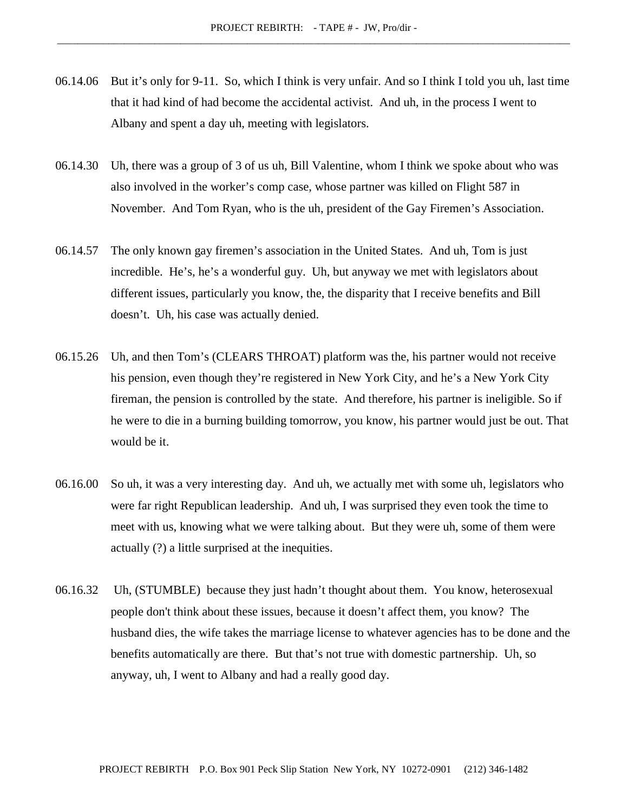- 06.14.06 But it's only for 9-11. So, which I think is very unfair. And so I think I told you uh, last time that it had kind of had become the accidental activist. And uh, in the process I went to Albany and spent a day uh, meeting with legislators.
- 06.14.30 Uh, there was a group of 3 of us uh, Bill Valentine, whom I think we spoke about who was also involved in the worker's comp case, whose partner was killed on Flight 587 in November. And Tom Ryan, who is the uh, president of the Gay Firemen's Association.
- 06.14.57 The only known gay firemen's association in the United States. And uh, Tom is just incredible. He's, he's a wonderful guy. Uh, but anyway we met with legislators about different issues, particularly you know, the, the disparity that I receive benefits and Bill doesn't. Uh, his case was actually denied.
- 06.15.26 Uh, and then Tom's (CLEARS THROAT) platform was the, his partner would not receive his pension, even though they're registered in New York City, and he's a New York City fireman, the pension is controlled by the state. And therefore, his partner is ineligible. So if he were to die in a burning building tomorrow, you know, his partner would just be out. That would be it.
- 06.16.00 So uh, it was a very interesting day. And uh, we actually met with some uh, legislators who were far right Republican leadership. And uh, I was surprised they even took the time to meet with us, knowing what we were talking about. But they were uh, some of them were actually (?) a little surprised at the inequities.
- 06.16.32 Uh, (STUMBLE) because they just hadn't thought about them. You know, heterosexual people don't think about these issues, because it doesn't affect them, you know? The husband dies, the wife takes the marriage license to whatever agencies has to be done and the benefits automatically are there. But that's not true with domestic partnership. Uh, so anyway, uh, I went to Albany and had a really good day.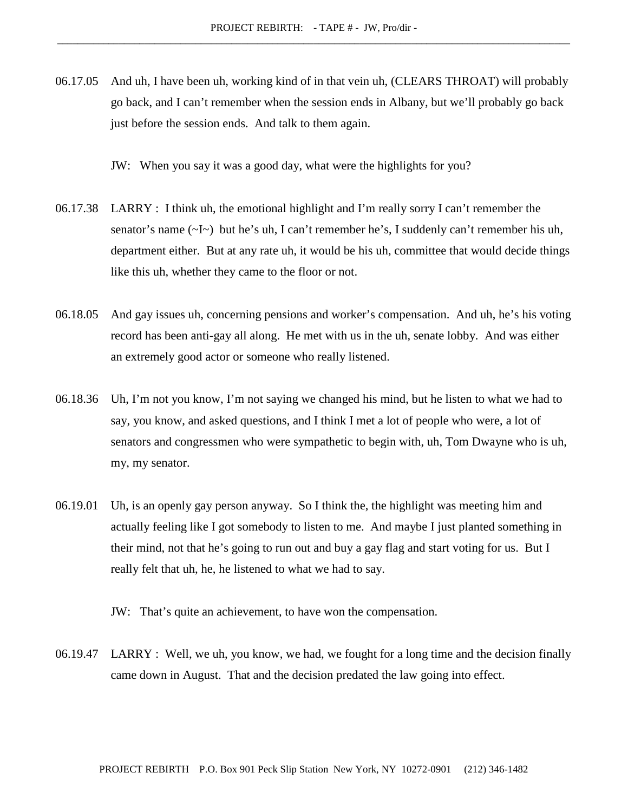06.17.05 And uh, I have been uh, working kind of in that vein uh, (CLEARS THROAT) will probably go back, and I can't remember when the session ends in Albany, but we'll probably go back just before the session ends. And talk to them again.

JW: When you say it was a good day, what were the highlights for you?

- 06.17.38 LARRY : I think uh, the emotional highlight and I'm really sorry I can't remember the senator's name (~I~) but he's uh, I can't remember he's, I suddenly can't remember his uh, department either. But at any rate uh, it would be his uh, committee that would decide things like this uh, whether they came to the floor or not.
- 06.18.05 And gay issues uh, concerning pensions and worker's compensation. And uh, he's his voting record has been anti-gay all along. He met with us in the uh, senate lobby. And was either an extremely good actor or someone who really listened.
- 06.18.36 Uh, I'm not you know, I'm not saying we changed his mind, but he listen to what we had to say, you know, and asked questions, and I think I met a lot of people who were, a lot of senators and congressmen who were sympathetic to begin with, uh, Tom Dwayne who is uh, my, my senator.
- 06.19.01 Uh, is an openly gay person anyway. So I think the, the highlight was meeting him and actually feeling like I got somebody to listen to me. And maybe I just planted something in their mind, not that he's going to run out and buy a gay flag and start voting for us. But I really felt that uh, he, he listened to what we had to say.

JW: That's quite an achievement, to have won the compensation.

06.19.47 LARRY : Well, we uh, you know, we had, we fought for a long time and the decision finally came down in August. That and the decision predated the law going into effect.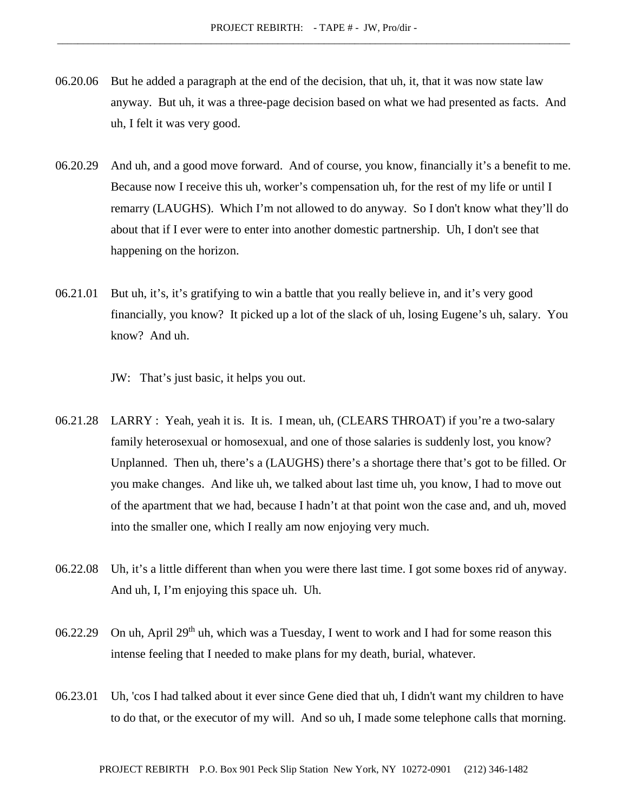- 06.20.06 But he added a paragraph at the end of the decision, that uh, it, that it was now state law anyway. But uh, it was a three-page decision based on what we had presented as facts. And uh, I felt it was very good.
- 06.20.29 And uh, and a good move forward. And of course, you know, financially it's a benefit to me. Because now I receive this uh, worker's compensation uh, for the rest of my life or until I remarry (LAUGHS). Which I'm not allowed to do anyway. So I don't know what they'll do about that if I ever were to enter into another domestic partnership. Uh, I don't see that happening on the horizon.
- 06.21.01 But uh, it's, it's gratifying to win a battle that you really believe in, and it's very good financially, you know? It picked up a lot of the slack of uh, losing Eugene's uh, salary. You know? And uh.

JW: That's just basic, it helps you out.

- 06.21.28 LARRY : Yeah, yeah it is. It is. I mean, uh, (CLEARS THROAT) if you're a two-salary family heterosexual or homosexual, and one of those salaries is suddenly lost, you know? Unplanned. Then uh, there's a (LAUGHS) there's a shortage there that's got to be filled. Or you make changes. And like uh, we talked about last time uh, you know, I had to move out of the apartment that we had, because I hadn't at that point won the case and, and uh, moved into the smaller one, which I really am now enjoying very much.
- 06.22.08 Uh, it's a little different than when you were there last time. I got some boxes rid of anyway. And uh, I, I'm enjoying this space uh. Uh.
- 06.22.29 On uh, April 29<sup>th</sup> uh, which was a Tuesday, I went to work and I had for some reason this intense feeling that I needed to make plans for my death, burial, whatever.
- 06.23.01 Uh, 'cos I had talked about it ever since Gene died that uh, I didn't want my children to have to do that, or the executor of my will. And so uh, I made some telephone calls that morning.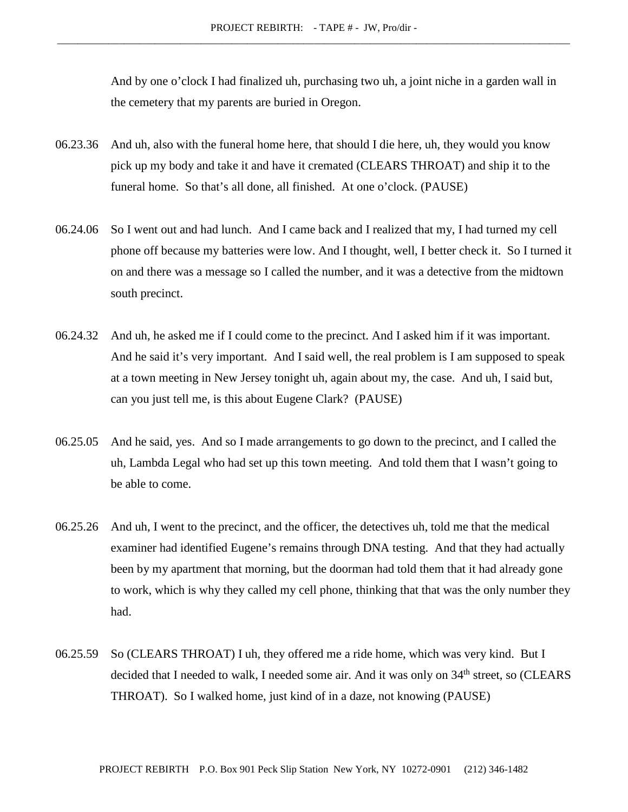And by one o'clock I had finalized uh, purchasing two uh, a joint niche in a garden wall in the cemetery that my parents are buried in Oregon.

- 06.23.36 And uh, also with the funeral home here, that should I die here, uh, they would you know pick up my body and take it and have it cremated (CLEARS THROAT) and ship it to the funeral home. So that's all done, all finished. At one o'clock. (PAUSE)
- 06.24.06 So I went out and had lunch. And I came back and I realized that my, I had turned my cell phone off because my batteries were low. And I thought, well, I better check it. So I turned it on and there was a message so I called the number, and it was a detective from the midtown south precinct.
- 06.24.32 And uh, he asked me if I could come to the precinct. And I asked him if it was important. And he said it's very important. And I said well, the real problem is I am supposed to speak at a town meeting in New Jersey tonight uh, again about my, the case. And uh, I said but, can you just tell me, is this about Eugene Clark? (PAUSE)
- 06.25.05 And he said, yes. And so I made arrangements to go down to the precinct, and I called the uh, Lambda Legal who had set up this town meeting. And told them that I wasn't going to be able to come.
- 06.25.26 And uh, I went to the precinct, and the officer, the detectives uh, told me that the medical examiner had identified Eugene's remains through DNA testing. And that they had actually been by my apartment that morning, but the doorman had told them that it had already gone to work, which is why they called my cell phone, thinking that that was the only number they had.
- 06.25.59 So (CLEARS THROAT) I uh, they offered me a ride home, which was very kind. But I decided that I needed to walk, I needed some air. And it was only on 34<sup>th</sup> street, so (CLEARS THROAT). So I walked home, just kind of in a daze, not knowing (PAUSE)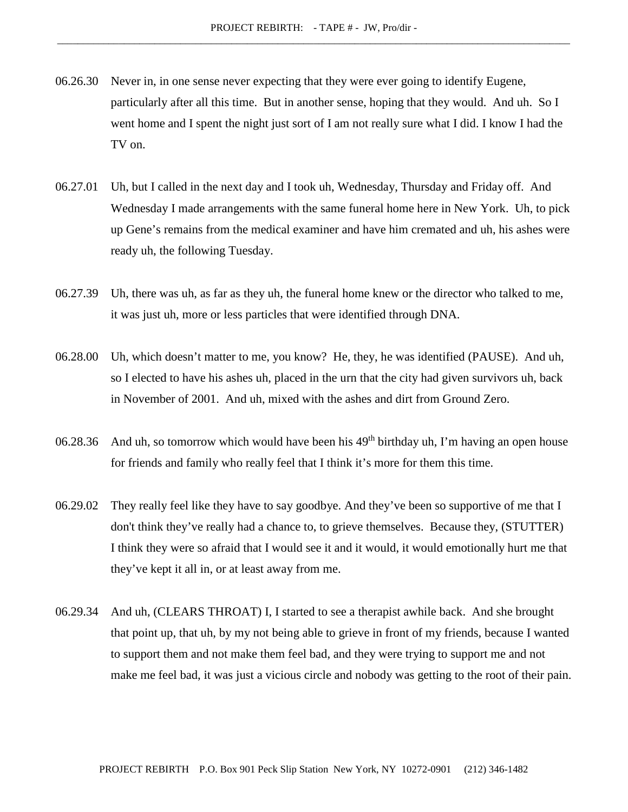- 06.26.30 Never in, in one sense never expecting that they were ever going to identify Eugene, particularly after all this time. But in another sense, hoping that they would. And uh. So I went home and I spent the night just sort of I am not really sure what I did. I know I had the TV on.
- 06.27.01 Uh, but I called in the next day and I took uh, Wednesday, Thursday and Friday off. And Wednesday I made arrangements with the same funeral home here in New York. Uh, to pick up Gene's remains from the medical examiner and have him cremated and uh, his ashes were ready uh, the following Tuesday.
- 06.27.39 Uh, there was uh, as far as they uh, the funeral home knew or the director who talked to me, it was just uh, more or less particles that were identified through DNA.
- 06.28.00 Uh, which doesn't matter to me, you know? He, they, he was identified (PAUSE). And uh, so I elected to have his ashes uh, placed in the urn that the city had given survivors uh, back in November of 2001. And uh, mixed with the ashes and dirt from Ground Zero.
- 06.28.36 And uh, so tomorrow which would have been his  $49<sup>th</sup>$  birthday uh, I'm having an open house for friends and family who really feel that I think it's more for them this time.
- 06.29.02 They really feel like they have to say goodbye. And they've been so supportive of me that I don't think they've really had a chance to, to grieve themselves. Because they, (STUTTER) I think they were so afraid that I would see it and it would, it would emotionally hurt me that they've kept it all in, or at least away from me.
- 06.29.34 And uh, (CLEARS THROAT) I, I started to see a therapist awhile back. And she brought that point up, that uh, by my not being able to grieve in front of my friends, because I wanted to support them and not make them feel bad, and they were trying to support me and not make me feel bad, it was just a vicious circle and nobody was getting to the root of their pain.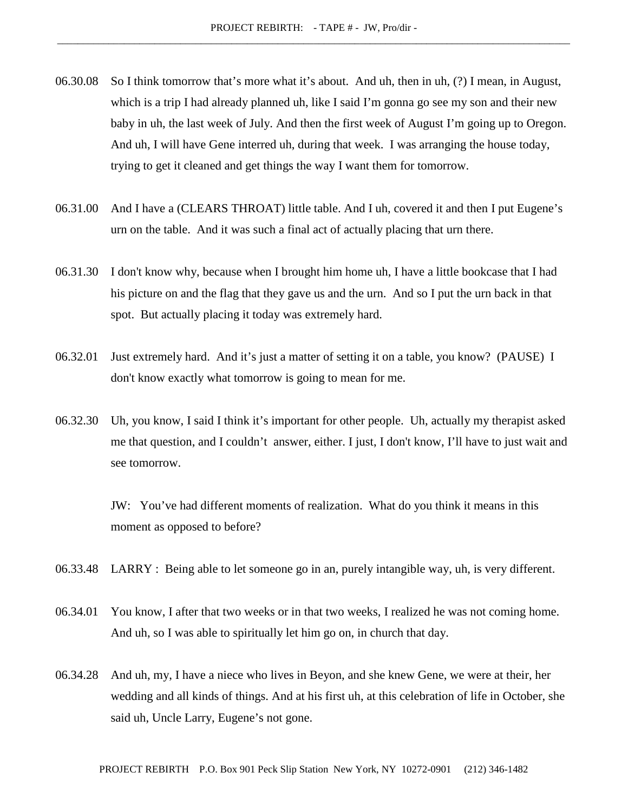- 06.30.08 So I think tomorrow that's more what it's about. And uh, then in uh, (?) I mean, in August, which is a trip I had already planned uh, like I said I'm gonna go see my son and their new baby in uh, the last week of July. And then the first week of August I'm going up to Oregon. And uh, I will have Gene interred uh, during that week. I was arranging the house today, trying to get it cleaned and get things the way I want them for tomorrow.
- 06.31.00 And I have a (CLEARS THROAT) little table. And I uh, covered it and then I put Eugene's urn on the table. And it was such a final act of actually placing that urn there.
- 06.31.30 I don't know why, because when I brought him home uh, I have a little bookcase that I had his picture on and the flag that they gave us and the urn. And so I put the urn back in that spot. But actually placing it today was extremely hard.
- 06.32.01 Just extremely hard. And it's just a matter of setting it on a table, you know? (PAUSE) I don't know exactly what tomorrow is going to mean for me.
- 06.32.30 Uh, you know, I said I think it's important for other people. Uh, actually my therapist asked me that question, and I couldn't answer, either. I just, I don't know, I'll have to just wait and see tomorrow.

JW: You've had different moments of realization. What do you think it means in this moment as opposed to before?

- 06.33.48 LARRY : Being able to let someone go in an, purely intangible way, uh, is very different.
- 06.34.01 You know, I after that two weeks or in that two weeks, I realized he was not coming home. And uh, so I was able to spiritually let him go on, in church that day.
- 06.34.28 And uh, my, I have a niece who lives in Beyon, and she knew Gene, we were at their, her wedding and all kinds of things. And at his first uh, at this celebration of life in October, she said uh, Uncle Larry, Eugene's not gone.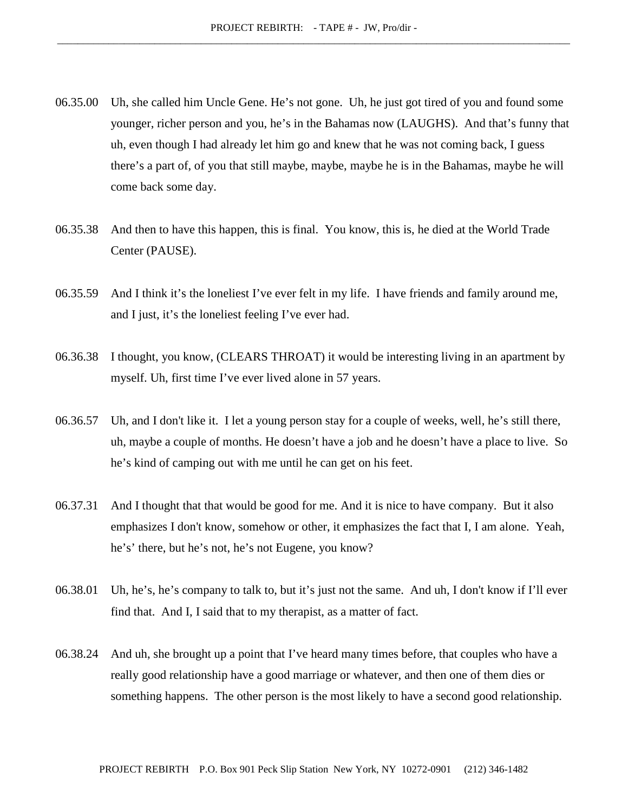- 06.35.00 Uh, she called him Uncle Gene. He's not gone. Uh, he just got tired of you and found some younger, richer person and you, he's in the Bahamas now (LAUGHS). And that's funny that uh, even though I had already let him go and knew that he was not coming back, I guess there's a part of, of you that still maybe, maybe, maybe he is in the Bahamas, maybe he will come back some day.
- 06.35.38 And then to have this happen, this is final. You know, this is, he died at the World Trade Center (PAUSE).
- 06.35.59 And I think it's the loneliest I've ever felt in my life. I have friends and family around me, and I just, it's the loneliest feeling I've ever had.
- 06.36.38 I thought, you know, (CLEARS THROAT) it would be interesting living in an apartment by myself. Uh, first time I've ever lived alone in 57 years.
- 06.36.57 Uh, and I don't like it. I let a young person stay for a couple of weeks, well, he's still there, uh, maybe a couple of months. He doesn't have a job and he doesn't have a place to live. So he's kind of camping out with me until he can get on his feet.
- 06.37.31 And I thought that that would be good for me. And it is nice to have company. But it also emphasizes I don't know, somehow or other, it emphasizes the fact that I, I am alone. Yeah, he's' there, but he's not, he's not Eugene, you know?
- 06.38.01 Uh, he's, he's company to talk to, but it's just not the same. And uh, I don't know if I'll ever find that. And I, I said that to my therapist, as a matter of fact.
- 06.38.24 And uh, she brought up a point that I've heard many times before, that couples who have a really good relationship have a good marriage or whatever, and then one of them dies or something happens. The other person is the most likely to have a second good relationship.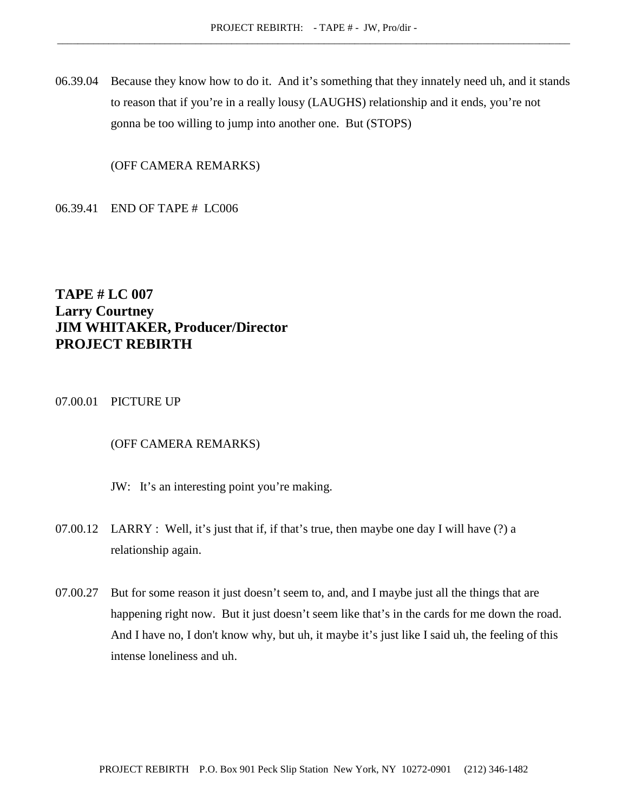06.39.04 Because they know how to do it. And it's something that they innately need uh, and it stands to reason that if you're in a really lousy (LAUGHS) relationship and it ends, you're not gonna be too willing to jump into another one. But (STOPS)

(OFF CAMERA REMARKS)

06.39.41 END OF TAPE # LC006

# **TAPE # LC 007 Larry Courtney JIM WHITAKER, Producer/Director PROJECT REBIRTH**

# 07.00.01 PICTURE UP

#### (OFF CAMERA REMARKS)

- JW: It's an interesting point you're making.
- 07.00.12 LARRY : Well, it's just that if, if that's true, then maybe one day I will have (?) a relationship again.
- 07.00.27 But for some reason it just doesn't seem to, and, and I maybe just all the things that are happening right now. But it just doesn't seem like that's in the cards for me down the road. And I have no, I don't know why, but uh, it maybe it's just like I said uh, the feeling of this intense loneliness and uh.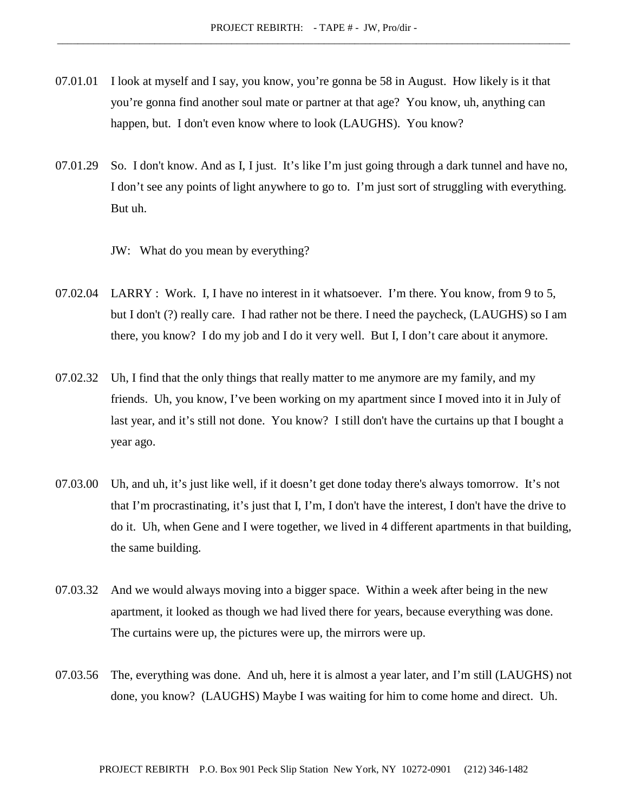- 07.01.01 I look at myself and I say, you know, you're gonna be 58 in August. How likely is it that you're gonna find another soul mate or partner at that age? You know, uh, anything can happen, but. I don't even know where to look (LAUGHS). You know?
- 07.01.29 So. I don't know. And as I, I just. It's like I'm just going through a dark tunnel and have no, I don't see any points of light anywhere to go to. I'm just sort of struggling with everything. But uh.
	- JW: What do you mean by everything?
- 07.02.04 LARRY : Work. I, I have no interest in it whatsoever. I'm there. You know, from 9 to 5, but I don't (?) really care. I had rather not be there. I need the paycheck, (LAUGHS) so I am there, you know? I do my job and I do it very well. But I, I don't care about it anymore.
- 07.02.32 Uh, I find that the only things that really matter to me anymore are my family, and my friends. Uh, you know, I've been working on my apartment since I moved into it in July of last year, and it's still not done. You know? I still don't have the curtains up that I bought a year ago.
- 07.03.00 Uh, and uh, it's just like well, if it doesn't get done today there's always tomorrow. It's not that I'm procrastinating, it's just that I, I'm, I don't have the interest, I don't have the drive to do it. Uh, when Gene and I were together, we lived in 4 different apartments in that building, the same building.
- 07.03.32 And we would always moving into a bigger space. Within a week after being in the new apartment, it looked as though we had lived there for years, because everything was done. The curtains were up, the pictures were up, the mirrors were up.
- 07.03.56 The, everything was done. And uh, here it is almost a year later, and I'm still (LAUGHS) not done, you know? (LAUGHS) Maybe I was waiting for him to come home and direct. Uh.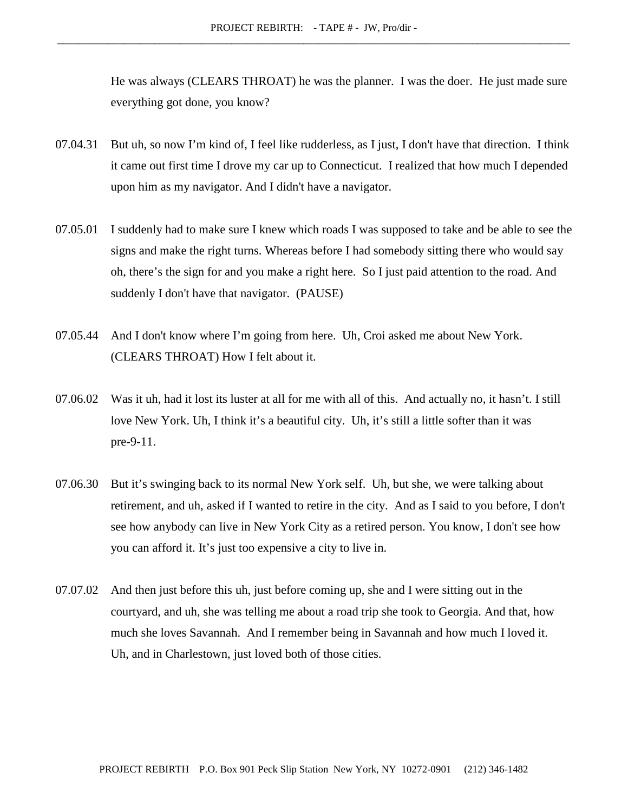He was always (CLEARS THROAT) he was the planner. I was the doer. He just made sure everything got done, you know?

- 07.04.31 But uh, so now I'm kind of, I feel like rudderless, as I just, I don't have that direction. I think it came out first time I drove my car up to Connecticut. I realized that how much I depended upon him as my navigator. And I didn't have a navigator.
- 07.05.01 I suddenly had to make sure I knew which roads I was supposed to take and be able to see the signs and make the right turns. Whereas before I had somebody sitting there who would say oh, there's the sign for and you make a right here. So I just paid attention to the road. And suddenly I don't have that navigator. (PAUSE)
- 07.05.44 And I don't know where I'm going from here. Uh, Croi asked me about New York. (CLEARS THROAT) How I felt about it.
- 07.06.02 Was it uh, had it lost its luster at all for me with all of this. And actually no, it hasn't. I still love New York. Uh, I think it's a beautiful city. Uh, it's still a little softer than it was pre-9-11.
- 07.06.30 But it's swinging back to its normal New York self. Uh, but she, we were talking about retirement, and uh, asked if I wanted to retire in the city. And as I said to you before, I don't see how anybody can live in New York City as a retired person. You know, I don't see how you can afford it. It's just too expensive a city to live in.
- 07.07.02 And then just before this uh, just before coming up, she and I were sitting out in the courtyard, and uh, she was telling me about a road trip she took to Georgia. And that, how much she loves Savannah. And I remember being in Savannah and how much I loved it. Uh, and in Charlestown, just loved both of those cities.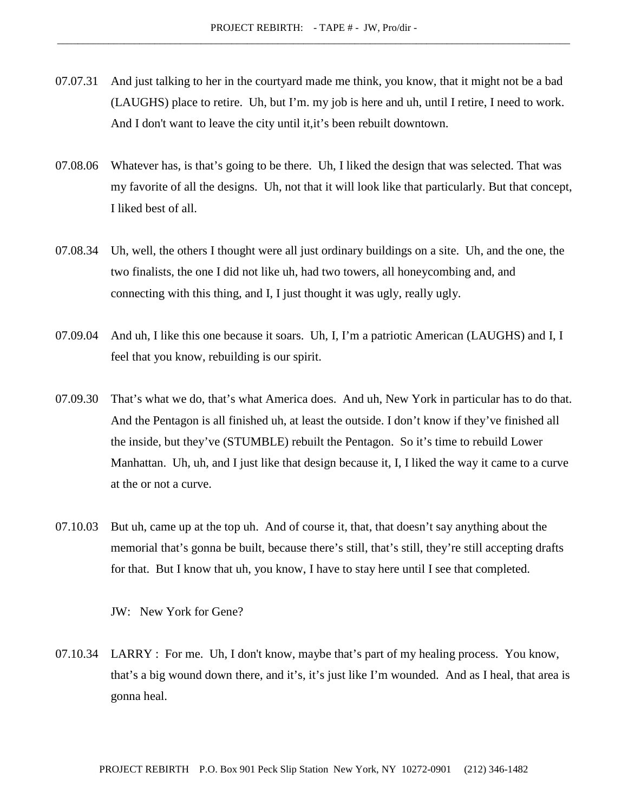- 07.07.31 And just talking to her in the courtyard made me think, you know, that it might not be a bad (LAUGHS) place to retire. Uh, but I'm. my job is here and uh, until I retire, I need to work. And I don't want to leave the city until it,it's been rebuilt downtown.
- 07.08.06 Whatever has, is that's going to be there. Uh, I liked the design that was selected. That was my favorite of all the designs. Uh, not that it will look like that particularly. But that concept, I liked best of all.
- 07.08.34 Uh, well, the others I thought were all just ordinary buildings on a site. Uh, and the one, the two finalists, the one I did not like uh, had two towers, all honeycombing and, and connecting with this thing, and I, I just thought it was ugly, really ugly.
- 07.09.04 And uh, I like this one because it soars. Uh, I, I'm a patriotic American (LAUGHS) and I, I feel that you know, rebuilding is our spirit.
- 07.09.30 That's what we do, that's what America does. And uh, New York in particular has to do that. And the Pentagon is all finished uh, at least the outside. I don't know if they've finished all the inside, but they've (STUMBLE) rebuilt the Pentagon. So it's time to rebuild Lower Manhattan. Uh, uh, and I just like that design because it, I, I liked the way it came to a curve at the or not a curve.
- 07.10.03 But uh, came up at the top uh. And of course it, that, that doesn't say anything about the memorial that's gonna be built, because there's still, that's still, they're still accepting drafts for that. But I know that uh, you know, I have to stay here until I see that completed.

JW: New York for Gene?

07.10.34 LARRY : For me. Uh, I don't know, maybe that's part of my healing process. You know, that's a big wound down there, and it's, it's just like I'm wounded. And as I heal, that area is gonna heal.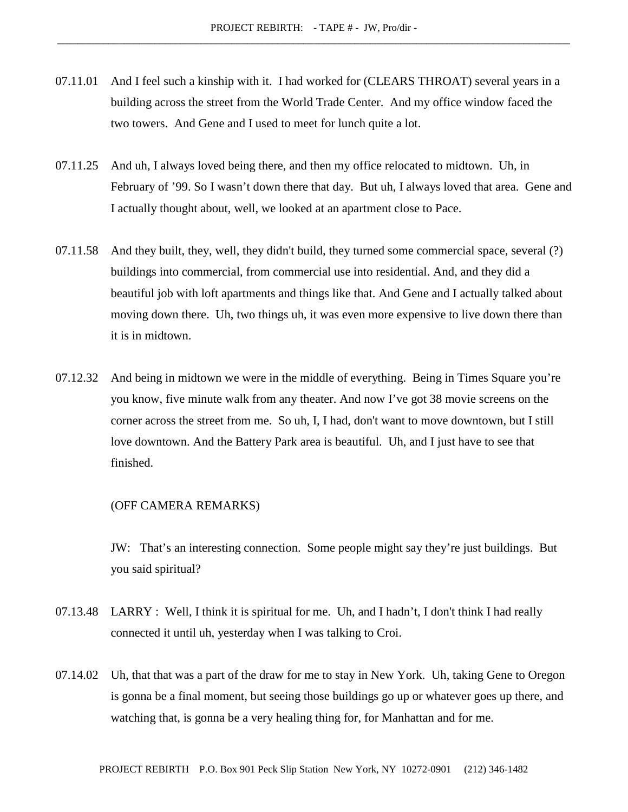- 07.11.01 And I feel such a kinship with it. I had worked for (CLEARS THROAT) several years in a building across the street from the World Trade Center. And my office window faced the two towers. And Gene and I used to meet for lunch quite a lot.
- 07.11.25 And uh, I always loved being there, and then my office relocated to midtown. Uh, in February of '99. So I wasn't down there that day. But uh, I always loved that area. Gene and I actually thought about, well, we looked at an apartment close to Pace.
- 07.11.58 And they built, they, well, they didn't build, they turned some commercial space, several (?) buildings into commercial, from commercial use into residential. And, and they did a beautiful job with loft apartments and things like that. And Gene and I actually talked about moving down there. Uh, two things uh, it was even more expensive to live down there than it is in midtown.
- 07.12.32 And being in midtown we were in the middle of everything. Being in Times Square you're you know, five minute walk from any theater. And now I've got 38 movie screens on the corner across the street from me. So uh, I, I had, don't want to move downtown, but I still love downtown. And the Battery Park area is beautiful. Uh, and I just have to see that finished.

#### (OFF CAMERA REMARKS)

JW: That's an interesting connection. Some people might say they're just buildings. But you said spiritual?

- 07.13.48 LARRY : Well, I think it is spiritual for me. Uh, and I hadn't, I don't think I had really connected it until uh, yesterday when I was talking to Croi.
- 07.14.02 Uh, that that was a part of the draw for me to stay in New York. Uh, taking Gene to Oregon is gonna be a final moment, but seeing those buildings go up or whatever goes up there, and watching that, is gonna be a very healing thing for, for Manhattan and for me.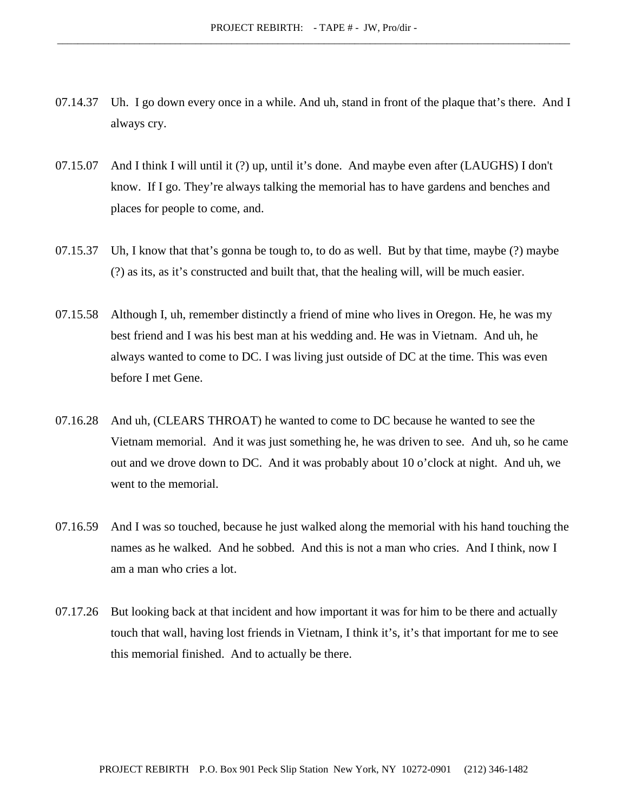- 07.14.37 Uh. I go down every once in a while. And uh, stand in front of the plaque that's there. And I always cry.
- 07.15.07 And I think I will until it (?) up, until it's done. And maybe even after (LAUGHS) I don't know. If I go. They're always talking the memorial has to have gardens and benches and places for people to come, and.
- 07.15.37 Uh, I know that that's gonna be tough to, to do as well. But by that time, maybe (?) maybe (?) as its, as it's constructed and built that, that the healing will, will be much easier.
- 07.15.58 Although I, uh, remember distinctly a friend of mine who lives in Oregon. He, he was my best friend and I was his best man at his wedding and. He was in Vietnam. And uh, he always wanted to come to DC. I was living just outside of DC at the time. This was even before I met Gene.
- 07.16.28 And uh, (CLEARS THROAT) he wanted to come to DC because he wanted to see the Vietnam memorial. And it was just something he, he was driven to see. And uh, so he came out and we drove down to DC. And it was probably about 10 o'clock at night. And uh, we went to the memorial.
- 07.16.59 And I was so touched, because he just walked along the memorial with his hand touching the names as he walked. And he sobbed. And this is not a man who cries. And I think, now I am a man who cries a lot.
- 07.17.26 But looking back at that incident and how important it was for him to be there and actually touch that wall, having lost friends in Vietnam, I think it's, it's that important for me to see this memorial finished. And to actually be there.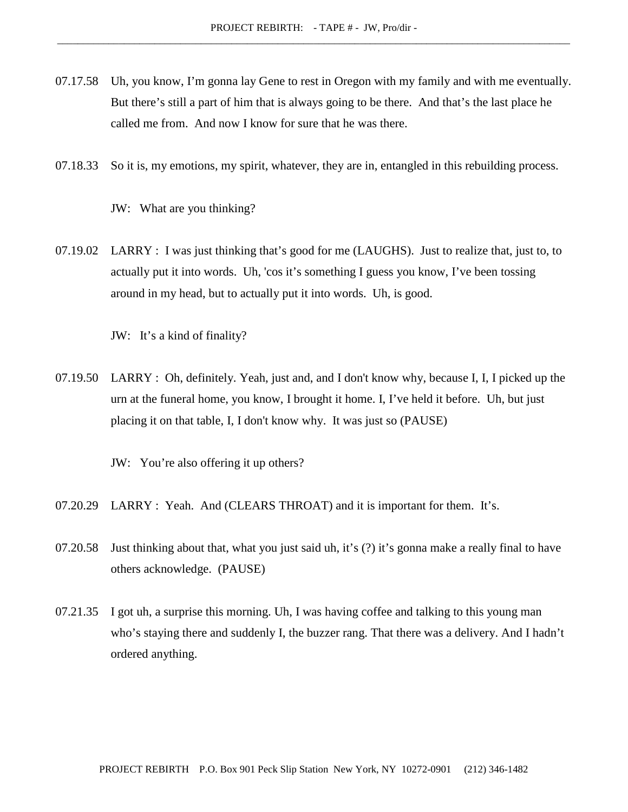- 07.17.58 Uh, you know, I'm gonna lay Gene to rest in Oregon with my family and with me eventually. But there's still a part of him that is always going to be there. And that's the last place he called me from. And now I know for sure that he was there.
- 07.18.33 So it is, my emotions, my spirit, whatever, they are in, entangled in this rebuilding process.

JW: What are you thinking?

07.19.02 LARRY : I was just thinking that's good for me (LAUGHS). Just to realize that, just to, to actually put it into words. Uh, 'cos it's something I guess you know, I've been tossing around in my head, but to actually put it into words. Uh, is good.

JW: It's a kind of finality?

07.19.50 LARRY : Oh, definitely. Yeah, just and, and I don't know why, because I, I, I picked up the urn at the funeral home, you know, I brought it home. I, I've held it before. Uh, but just placing it on that table, I, I don't know why. It was just so (PAUSE)

JW: You're also offering it up others?

- 07.20.29 LARRY : Yeah. And (CLEARS THROAT) and it is important for them. It's.
- 07.20.58 Just thinking about that, what you just said uh, it's (?) it's gonna make a really final to have others acknowledge. (PAUSE)
- 07.21.35 I got uh, a surprise this morning. Uh, I was having coffee and talking to this young man who's staying there and suddenly I, the buzzer rang. That there was a delivery. And I hadn't ordered anything.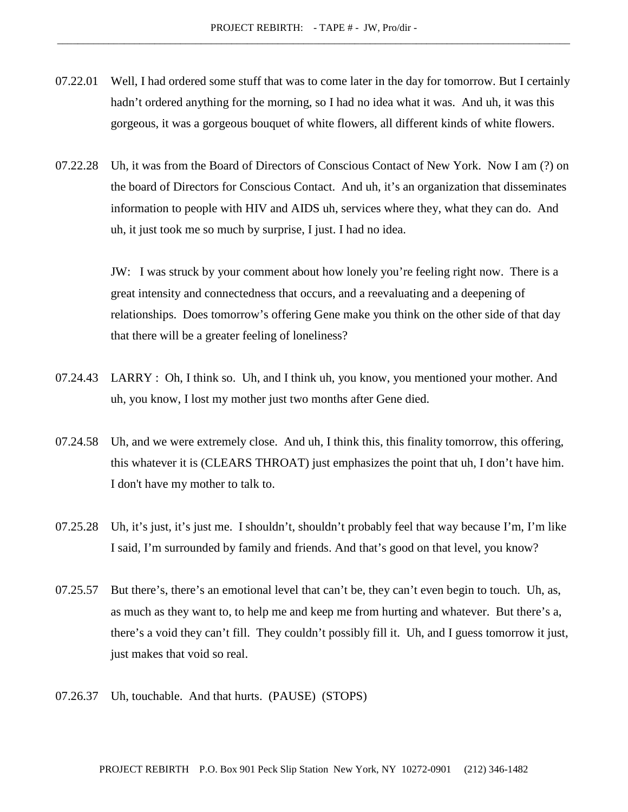- 07.22.01 Well, I had ordered some stuff that was to come later in the day for tomorrow. But I certainly hadn't ordered anything for the morning, so I had no idea what it was. And uh, it was this gorgeous, it was a gorgeous bouquet of white flowers, all different kinds of white flowers.
- 07.22.28 Uh, it was from the Board of Directors of Conscious Contact of New York. Now I am (?) on the board of Directors for Conscious Contact. And uh, it's an organization that disseminates information to people with HIV and AIDS uh, services where they, what they can do. And uh, it just took me so much by surprise, I just. I had no idea.

JW: I was struck by your comment about how lonely you're feeling right now. There is a great intensity and connectedness that occurs, and a reevaluating and a deepening of relationships. Does tomorrow's offering Gene make you think on the other side of that day that there will be a greater feeling of loneliness?

- 07.24.43 LARRY : Oh, I think so. Uh, and I think uh, you know, you mentioned your mother. And uh, you know, I lost my mother just two months after Gene died.
- 07.24.58 Uh, and we were extremely close. And uh, I think this, this finality tomorrow, this offering, this whatever it is (CLEARS THROAT) just emphasizes the point that uh, I don't have him. I don't have my mother to talk to.
- 07.25.28 Uh, it's just, it's just me. I shouldn't, shouldn't probably feel that way because I'm, I'm like I said, I'm surrounded by family and friends. And that's good on that level, you know?
- 07.25.57 But there's, there's an emotional level that can't be, they can't even begin to touch. Uh, as, as much as they want to, to help me and keep me from hurting and whatever. But there's a, there's a void they can't fill. They couldn't possibly fill it. Uh, and I guess tomorrow it just, just makes that void so real.
- 07.26.37 Uh, touchable. And that hurts. (PAUSE) (STOPS)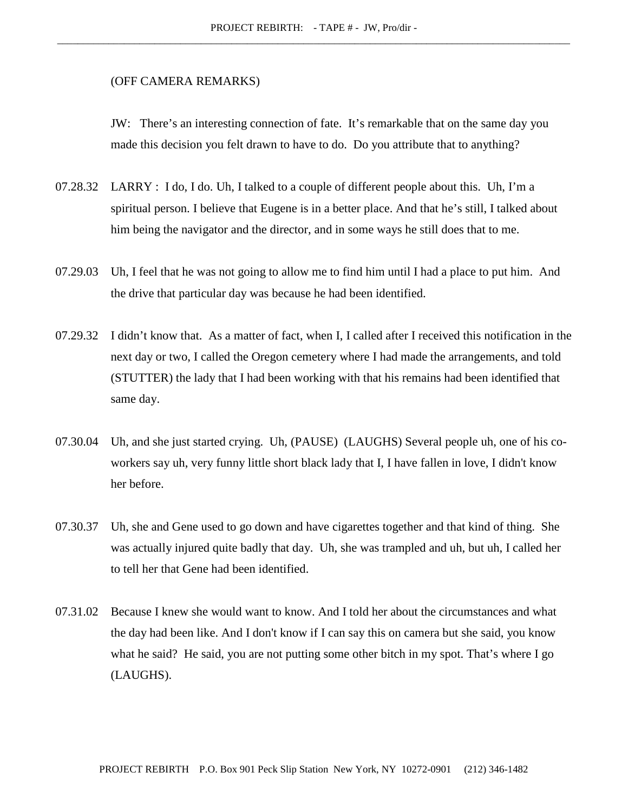#### (OFF CAMERA REMARKS)

JW: There's an interesting connection of fate. It's remarkable that on the same day you made this decision you felt drawn to have to do. Do you attribute that to anything?

- 07.28.32 LARRY : I do, I do. Uh, I talked to a couple of different people about this. Uh, I'm a spiritual person. I believe that Eugene is in a better place. And that he's still, I talked about him being the navigator and the director, and in some ways he still does that to me.
- 07.29.03 Uh, I feel that he was not going to allow me to find him until I had a place to put him. And the drive that particular day was because he had been identified.
- 07.29.32 I didn't know that. As a matter of fact, when I, I called after I received this notification in the next day or two, I called the Oregon cemetery where I had made the arrangements, and told (STUTTER) the lady that I had been working with that his remains had been identified that same day.
- 07.30.04 Uh, and she just started crying. Uh, (PAUSE) (LAUGHS) Several people uh, one of his coworkers say uh, very funny little short black lady that I, I have fallen in love, I didn't know her before.
- 07.30.37 Uh, she and Gene used to go down and have cigarettes together and that kind of thing. She was actually injured quite badly that day. Uh, she was trampled and uh, but uh, I called her to tell her that Gene had been identified.
- 07.31.02 Because I knew she would want to know. And I told her about the circumstances and what the day had been like. And I don't know if I can say this on camera but she said, you know what he said? He said, you are not putting some other bitch in my spot. That's where I go (LAUGHS).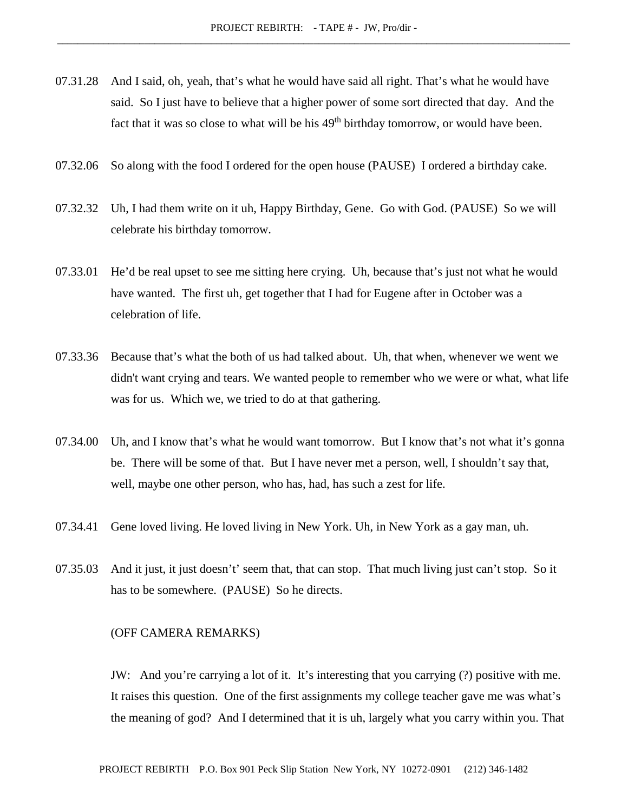- 07.31.28 And I said, oh, yeah, that's what he would have said all right. That's what he would have said. So I just have to believe that a higher power of some sort directed that day. And the fact that it was so close to what will be his  $49<sup>th</sup>$  birthday tomorrow, or would have been.
- 07.32.06 So along with the food I ordered for the open house (PAUSE) I ordered a birthday cake.
- 07.32.32 Uh, I had them write on it uh, Happy Birthday, Gene. Go with God. (PAUSE) So we will celebrate his birthday tomorrow.
- 07.33.01 He'd be real upset to see me sitting here crying. Uh, because that's just not what he would have wanted. The first uh, get together that I had for Eugene after in October was a celebration of life.
- 07.33.36 Because that's what the both of us had talked about. Uh, that when, whenever we went we didn't want crying and tears. We wanted people to remember who we were or what, what life was for us. Which we, we tried to do at that gathering.
- 07.34.00 Uh, and I know that's what he would want tomorrow. But I know that's not what it's gonna be. There will be some of that. But I have never met a person, well, I shouldn't say that, well, maybe one other person, who has, had, has such a zest for life.
- 07.34.41 Gene loved living. He loved living in New York. Uh, in New York as a gay man, uh.
- 07.35.03 And it just, it just doesn't' seem that, that can stop. That much living just can't stop. So it has to be somewhere. (PAUSE) So he directs.

## (OFF CAMERA REMARKS)

JW: And you're carrying a lot of it. It's interesting that you carrying (?) positive with me. It raises this question. One of the first assignments my college teacher gave me was what's the meaning of god? And I determined that it is uh, largely what you carry within you. That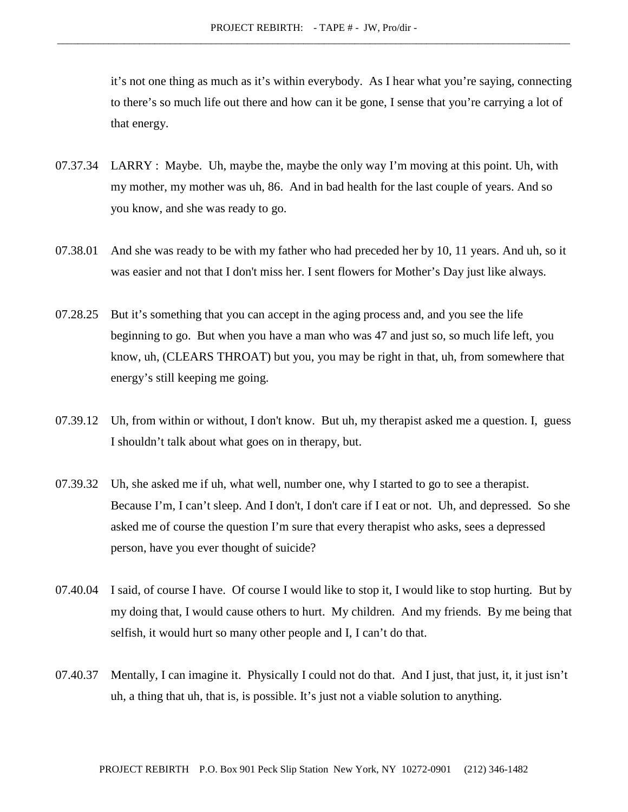it's not one thing as much as it's within everybody. As I hear what you're saying, connecting to there's so much life out there and how can it be gone, I sense that you're carrying a lot of that energy.

- 07.37.34 LARRY : Maybe. Uh, maybe the, maybe the only way I'm moving at this point. Uh, with my mother, my mother was uh, 86. And in bad health for the last couple of years. And so you know, and she was ready to go.
- 07.38.01 And she was ready to be with my father who had preceded her by 10, 11 years. And uh, so it was easier and not that I don't miss her. I sent flowers for Mother's Day just like always.
- 07.28.25 But it's something that you can accept in the aging process and, and you see the life beginning to go. But when you have a man who was 47 and just so, so much life left, you know, uh, (CLEARS THROAT) but you, you may be right in that, uh, from somewhere that energy's still keeping me going.
- 07.39.12 Uh, from within or without, I don't know. But uh, my therapist asked me a question. I, guess I shouldn't talk about what goes on in therapy, but.
- 07.39.32 Uh, she asked me if uh, what well, number one, why I started to go to see a therapist. Because I'm, I can't sleep. And I don't, I don't care if I eat or not. Uh, and depressed. So she asked me of course the question I'm sure that every therapist who asks, sees a depressed person, have you ever thought of suicide?
- 07.40.04 I said, of course I have. Of course I would like to stop it, I would like to stop hurting. But by my doing that, I would cause others to hurt. My children. And my friends. By me being that selfish, it would hurt so many other people and I, I can't do that.
- 07.40.37 Mentally, I can imagine it. Physically I could not do that. And I just, that just, it, it just isn't uh, a thing that uh, that is, is possible. It's just not a viable solution to anything.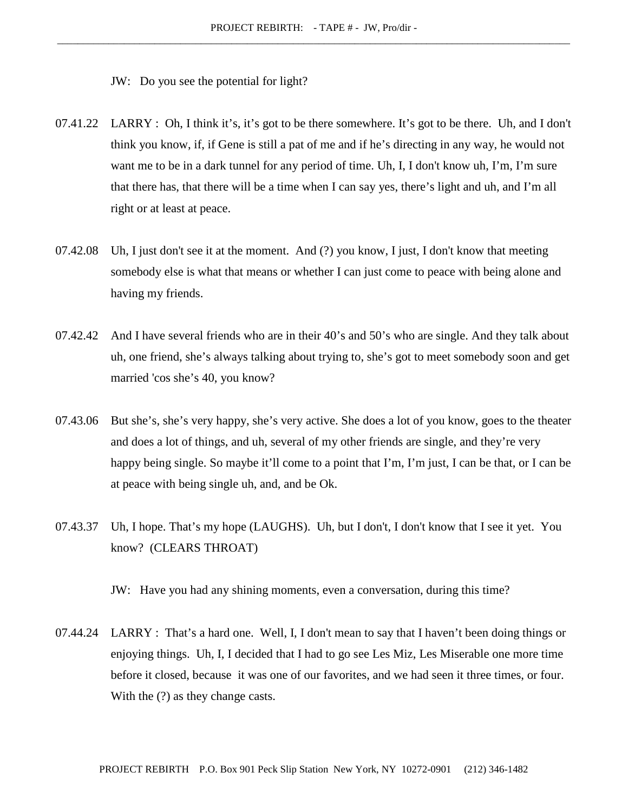JW: Do you see the potential for light?

- 07.41.22 LARRY : Oh, I think it's, it's got to be there somewhere. It's got to be there. Uh, and I don't think you know, if, if Gene is still a pat of me and if he's directing in any way, he would not want me to be in a dark tunnel for any period of time. Uh, I, I don't know uh, I'm, I'm sure that there has, that there will be a time when I can say yes, there's light and uh, and I'm all right or at least at peace.
- 07.42.08 Uh, I just don't see it at the moment. And (?) you know, I just, I don't know that meeting somebody else is what that means or whether I can just come to peace with being alone and having my friends.
- 07.42.42 And I have several friends who are in their 40's and 50's who are single. And they talk about uh, one friend, she's always talking about trying to, she's got to meet somebody soon and get married 'cos she's 40, you know?
- 07.43.06 But she's, she's very happy, she's very active. She does a lot of you know, goes to the theater and does a lot of things, and uh, several of my other friends are single, and they're very happy being single. So maybe it'll come to a point that I'm, I'm just, I can be that, or I can be at peace with being single uh, and, and be Ok.
- 07.43.37 Uh, I hope. That's my hope (LAUGHS). Uh, but I don't, I don't know that I see it yet. You know? (CLEARS THROAT)

JW: Have you had any shining moments, even a conversation, during this time?

07.44.24 LARRY : That's a hard one. Well, I, I don't mean to say that I haven't been doing things or enjoying things. Uh, I, I decided that I had to go see Les Miz, Les Miserable one more time before it closed, because it was one of our favorites, and we had seen it three times, or four. With the  $(?)$  as they change casts.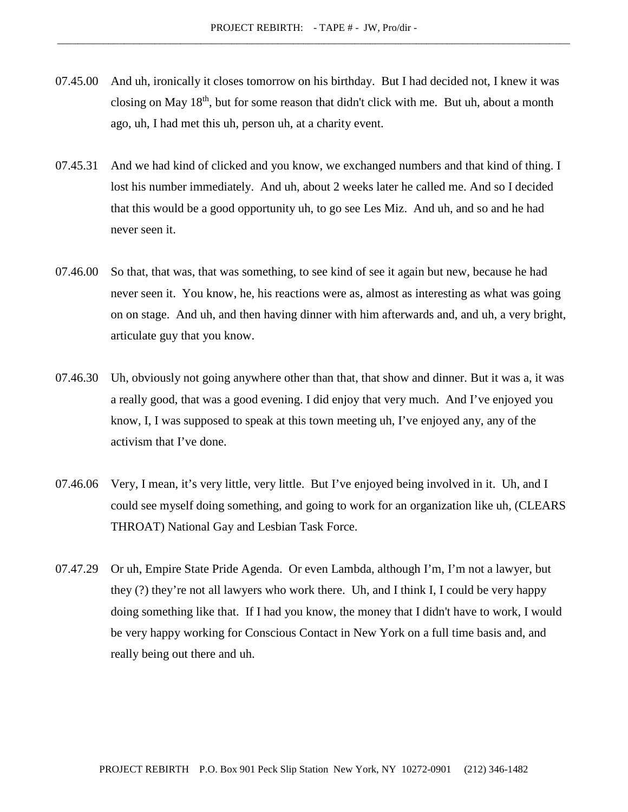- 07.45.00 And uh, ironically it closes tomorrow on his birthday. But I had decided not, I knew it was closing on May 18th, but for some reason that didn't click with me. But uh, about a month ago, uh, I had met this uh, person uh, at a charity event.
- 07.45.31 And we had kind of clicked and you know, we exchanged numbers and that kind of thing. I lost his number immediately. And uh, about 2 weeks later he called me. And so I decided that this would be a good opportunity uh, to go see Les Miz. And uh, and so and he had never seen it.
- 07.46.00 So that, that was, that was something, to see kind of see it again but new, because he had never seen it. You know, he, his reactions were as, almost as interesting as what was going on on stage. And uh, and then having dinner with him afterwards and, and uh, a very bright, articulate guy that you know.
- 07.46.30 Uh, obviously not going anywhere other than that, that show and dinner. But it was a, it was a really good, that was a good evening. I did enjoy that very much. And I've enjoyed you know, I, I was supposed to speak at this town meeting uh, I've enjoyed any, any of the activism that I've done.
- 07.46.06 Very, I mean, it's very little, very little. But I've enjoyed being involved in it. Uh, and I could see myself doing something, and going to work for an organization like uh, (CLEARS THROAT) National Gay and Lesbian Task Force.
- 07.47.29 Or uh, Empire State Pride Agenda. Or even Lambda, although I'm, I'm not a lawyer, but they (?) they're not all lawyers who work there. Uh, and I think I, I could be very happy doing something like that. If I had you know, the money that I didn't have to work, I would be very happy working for Conscious Contact in New York on a full time basis and, and really being out there and uh.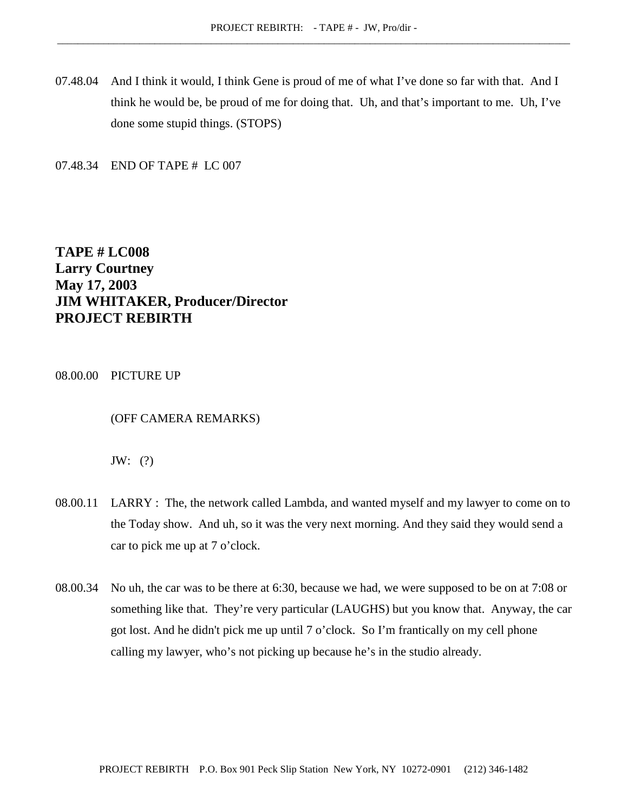07.48.04 And I think it would, I think Gene is proud of me of what I've done so far with that. And I think he would be, be proud of me for doing that. Uh, and that's important to me. Uh, I've done some stupid things. (STOPS)

07.48.34 END OF TAPE # LC 007

**TAPE # LC008 Larry Courtney May 17, 2003 JIM WHITAKER, Producer/Director PROJECT REBIRTH**

08.00.00 PICTURE UP

(OFF CAMERA REMARKS)

JW: (?)

- 08.00.11 LARRY : The, the network called Lambda, and wanted myself and my lawyer to come on to the Today show. And uh, so it was the very next morning. And they said they would send a car to pick me up at 7 o'clock.
- 08.00.34 No uh, the car was to be there at 6:30, because we had, we were supposed to be on at 7:08 or something like that. They're very particular (LAUGHS) but you know that. Anyway, the car got lost. And he didn't pick me up until 7 o'clock. So I'm frantically on my cell phone calling my lawyer, who's not picking up because he's in the studio already.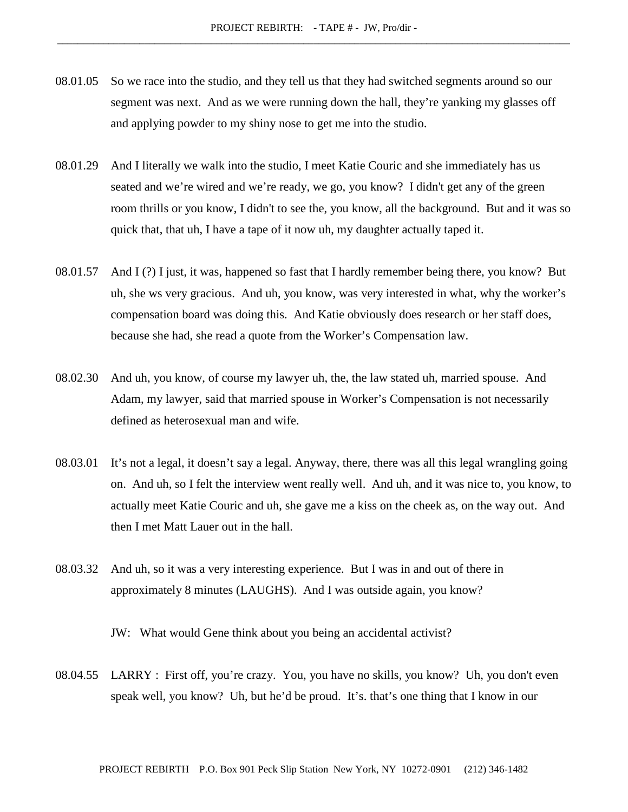- 08.01.05 So we race into the studio, and they tell us that they had switched segments around so our segment was next. And as we were running down the hall, they're yanking my glasses off and applying powder to my shiny nose to get me into the studio.
- 08.01.29 And I literally we walk into the studio, I meet Katie Couric and she immediately has us seated and we're wired and we're ready, we go, you know? I didn't get any of the green room thrills or you know, I didn't to see the, you know, all the background. But and it was so quick that, that uh, I have a tape of it now uh, my daughter actually taped it.
- 08.01.57 And I (?) I just, it was, happened so fast that I hardly remember being there, you know? But uh, she ws very gracious. And uh, you know, was very interested in what, why the worker's compensation board was doing this. And Katie obviously does research or her staff does, because she had, she read a quote from the Worker's Compensation law.
- 08.02.30 And uh, you know, of course my lawyer uh, the, the law stated uh, married spouse. And Adam, my lawyer, said that married spouse in Worker's Compensation is not necessarily defined as heterosexual man and wife.
- 08.03.01 It's not a legal, it doesn't say a legal. Anyway, there, there was all this legal wrangling going on. And uh, so I felt the interview went really well. And uh, and it was nice to, you know, to actually meet Katie Couric and uh, she gave me a kiss on the cheek as, on the way out. And then I met Matt Lauer out in the hall.
- 08.03.32 And uh, so it was a very interesting experience. But I was in and out of there in approximately 8 minutes (LAUGHS). And I was outside again, you know?

JW: What would Gene think about you being an accidental activist?

08.04.55 LARRY : First off, you're crazy. You, you have no skills, you know? Uh, you don't even speak well, you know? Uh, but he'd be proud. It's. that's one thing that I know in our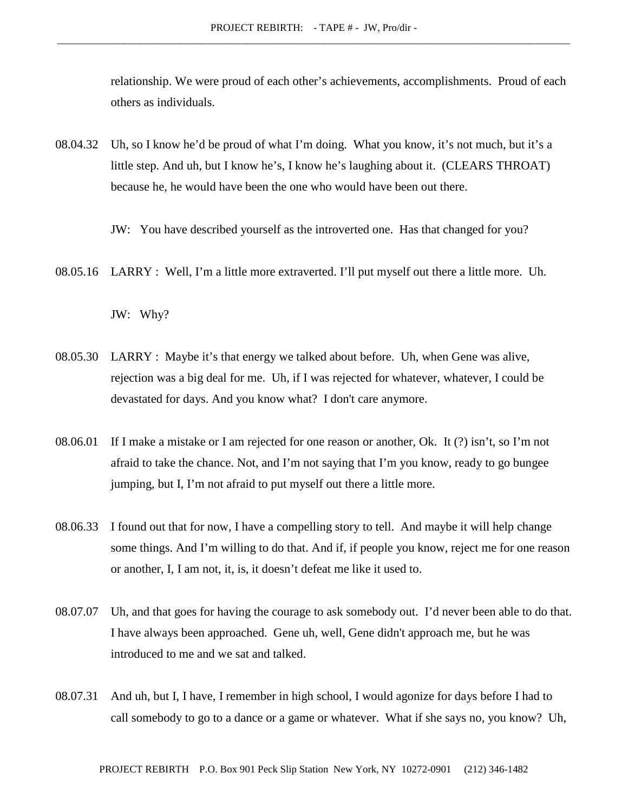relationship. We were proud of each other's achievements, accomplishments. Proud of each others as individuals.

08.04.32 Uh, so I know he'd be proud of what I'm doing. What you know, it's not much, but it's a little step. And uh, but I know he's, I know he's laughing about it. (CLEARS THROAT) because he, he would have been the one who would have been out there.

JW: You have described yourself as the introverted one. Has that changed for you?

08.05.16 LARRY : Well, I'm a little more extraverted. I'll put myself out there a little more. Uh.

JW: Why?

- 08.05.30 LARRY : Maybe it's that energy we talked about before. Uh, when Gene was alive, rejection was a big deal for me. Uh, if I was rejected for whatever, whatever, I could be devastated for days. And you know what? I don't care anymore.
- 08.06.01 If I make a mistake or I am rejected for one reason or another, Ok. It (?) isn't, so I'm not afraid to take the chance. Not, and I'm not saying that I'm you know, ready to go bungee jumping, but I, I'm not afraid to put myself out there a little more.
- 08.06.33 I found out that for now, I have a compelling story to tell. And maybe it will help change some things. And I'm willing to do that. And if, if people you know, reject me for one reason or another, I, I am not, it, is, it doesn't defeat me like it used to.
- 08.07.07 Uh, and that goes for having the courage to ask somebody out. I'd never been able to do that. I have always been approached. Gene uh, well, Gene didn't approach me, but he was introduced to me and we sat and talked.
- 08.07.31 And uh, but I, I have, I remember in high school, I would agonize for days before I had to call somebody to go to a dance or a game or whatever. What if she says no, you know? Uh,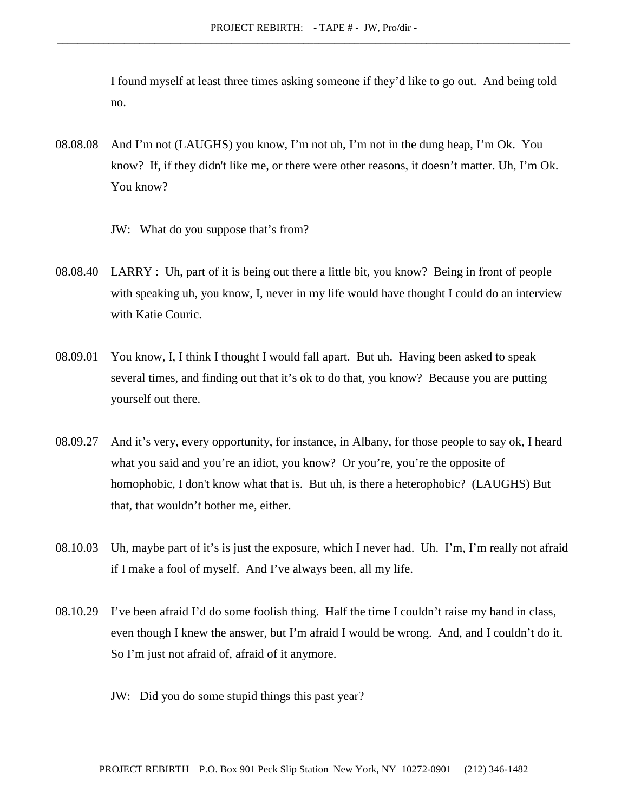I found myself at least three times asking someone if they'd like to go out. And being told no.

- 08.08.08 And I'm not (LAUGHS) you know, I'm not uh, I'm not in the dung heap, I'm Ok. You know? If, if they didn't like me, or there were other reasons, it doesn't matter. Uh, I'm Ok. You know?
	- JW: What do you suppose that's from?
- 08.08.40 LARRY : Uh, part of it is being out there a little bit, you know? Being in front of people with speaking uh, you know, I, never in my life would have thought I could do an interview with Katie Couric.
- 08.09.01 You know, I, I think I thought I would fall apart. But uh. Having been asked to speak several times, and finding out that it's ok to do that, you know? Because you are putting yourself out there.
- 08.09.27 And it's very, every opportunity, for instance, in Albany, for those people to say ok, I heard what you said and you're an idiot, you know? Or you're, you're the opposite of homophobic, I don't know what that is. But uh, is there a heterophobic? (LAUGHS) But that, that wouldn't bother me, either.
- 08.10.03 Uh, maybe part of it's is just the exposure, which I never had. Uh. I'm, I'm really not afraid if I make a fool of myself. And I've always been, all my life.
- 08.10.29 I've been afraid I'd do some foolish thing. Half the time I couldn't raise my hand in class, even though I knew the answer, but I'm afraid I would be wrong. And, and I couldn't do it. So I'm just not afraid of, afraid of it anymore.
	- JW: Did you do some stupid things this past year?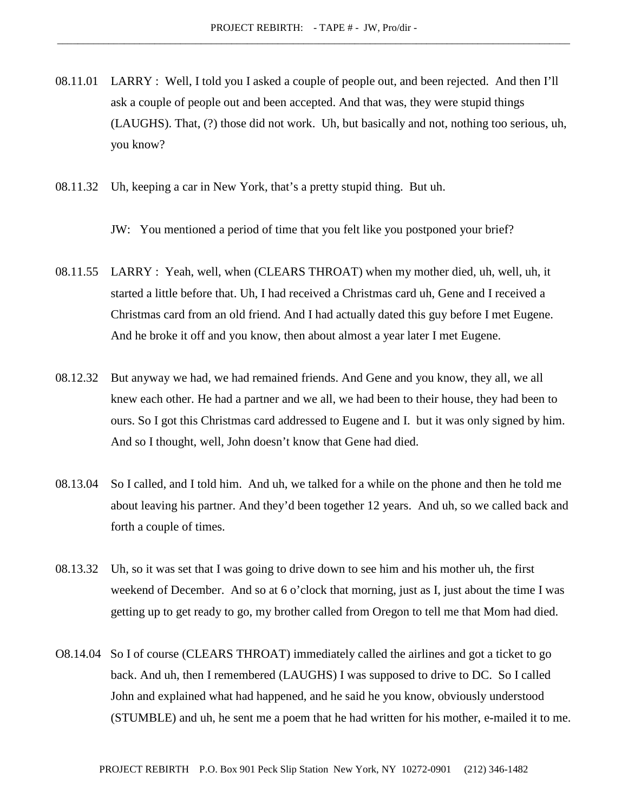- 08.11.01 LARRY : Well, I told you I asked a couple of people out, and been rejected. And then I'll ask a couple of people out and been accepted. And that was, they were stupid things (LAUGHS). That, (?) those did not work. Uh, but basically and not, nothing too serious, uh, you know?
- 08.11.32 Uh, keeping a car in New York, that's a pretty stupid thing. But uh.

JW: You mentioned a period of time that you felt like you postponed your brief?

- 08.11.55 LARRY : Yeah, well, when (CLEARS THROAT) when my mother died, uh, well, uh, it started a little before that. Uh, I had received a Christmas card uh, Gene and I received a Christmas card from an old friend. And I had actually dated this guy before I met Eugene. And he broke it off and you know, then about almost a year later I met Eugene.
- 08.12.32 But anyway we had, we had remained friends. And Gene and you know, they all, we all knew each other. He had a partner and we all, we had been to their house, they had been to ours. So I got this Christmas card addressed to Eugene and I. but it was only signed by him. And so I thought, well, John doesn't know that Gene had died.
- 08.13.04 So I called, and I told him. And uh, we talked for a while on the phone and then he told me about leaving his partner. And they'd been together 12 years. And uh, so we called back and forth a couple of times.
- 08.13.32 Uh, so it was set that I was going to drive down to see him and his mother uh, the first weekend of December. And so at 6 o'clock that morning, just as I, just about the time I was getting up to get ready to go, my brother called from Oregon to tell me that Mom had died.
- O8.14.04 So I of course (CLEARS THROAT) immediately called the airlines and got a ticket to go back. And uh, then I remembered (LAUGHS) I was supposed to drive to DC. So I called John and explained what had happened, and he said he you know, obviously understood (STUMBLE) and uh, he sent me a poem that he had written for his mother, e-mailed it to me.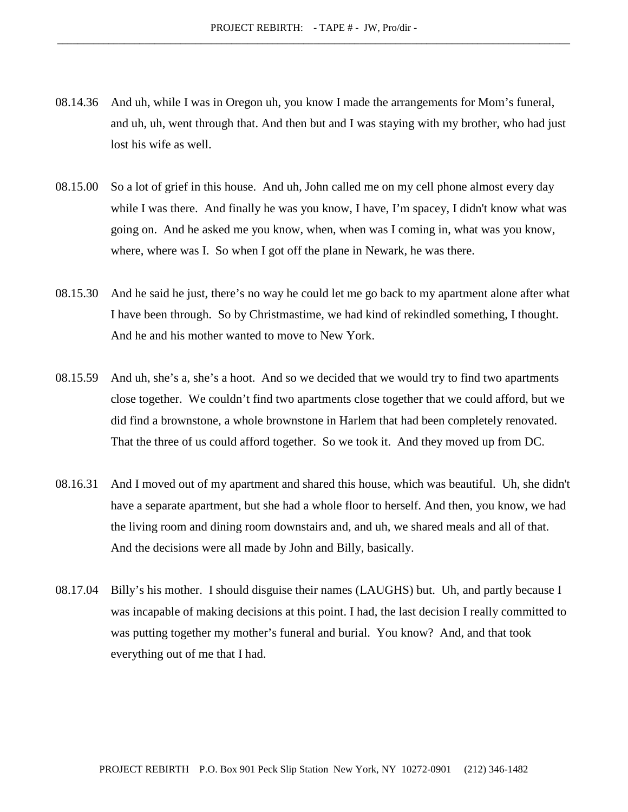- 08.14.36 And uh, while I was in Oregon uh, you know I made the arrangements for Mom's funeral, and uh, uh, went through that. And then but and I was staying with my brother, who had just lost his wife as well.
- 08.15.00 So a lot of grief in this house. And uh, John called me on my cell phone almost every day while I was there. And finally he was you know, I have, I'm spacey, I didn't know what was going on. And he asked me you know, when, when was I coming in, what was you know, where, where was I. So when I got off the plane in Newark, he was there.
- 08.15.30 And he said he just, there's no way he could let me go back to my apartment alone after what I have been through. So by Christmastime, we had kind of rekindled something, I thought. And he and his mother wanted to move to New York.
- 08.15.59 And uh, she's a, she's a hoot. And so we decided that we would try to find two apartments close together. We couldn't find two apartments close together that we could afford, but we did find a brownstone, a whole brownstone in Harlem that had been completely renovated. That the three of us could afford together. So we took it. And they moved up from DC.
- 08.16.31 And I moved out of my apartment and shared this house, which was beautiful. Uh, she didn't have a separate apartment, but she had a whole floor to herself. And then, you know, we had the living room and dining room downstairs and, and uh, we shared meals and all of that. And the decisions were all made by John and Billy, basically.
- 08.17.04 Billy's his mother. I should disguise their names (LAUGHS) but. Uh, and partly because I was incapable of making decisions at this point. I had, the last decision I really committed to was putting together my mother's funeral and burial. You know? And, and that took everything out of me that I had.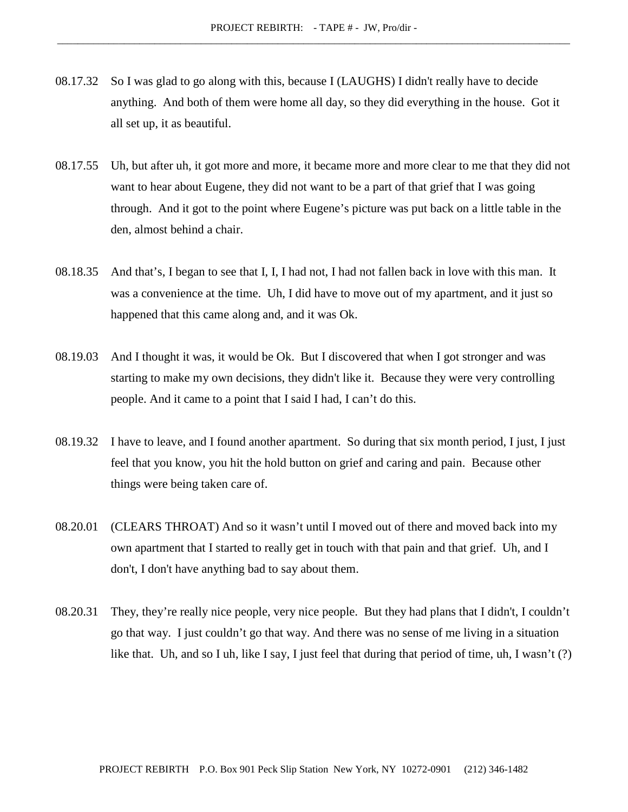- 08.17.32 So I was glad to go along with this, because I (LAUGHS) I didn't really have to decide anything. And both of them were home all day, so they did everything in the house. Got it all set up, it as beautiful.
- 08.17.55 Uh, but after uh, it got more and more, it became more and more clear to me that they did not want to hear about Eugene, they did not want to be a part of that grief that I was going through. And it got to the point where Eugene's picture was put back on a little table in the den, almost behind a chair.
- 08.18.35 And that's, I began to see that I, I, I had not, I had not fallen back in love with this man. It was a convenience at the time. Uh, I did have to move out of my apartment, and it just so happened that this came along and, and it was Ok.
- 08.19.03 And I thought it was, it would be Ok. But I discovered that when I got stronger and was starting to make my own decisions, they didn't like it. Because they were very controlling people. And it came to a point that I said I had, I can't do this.
- 08.19.32 I have to leave, and I found another apartment. So during that six month period, I just, I just feel that you know, you hit the hold button on grief and caring and pain. Because other things were being taken care of.
- 08.20.01 (CLEARS THROAT) And so it wasn't until I moved out of there and moved back into my own apartment that I started to really get in touch with that pain and that grief. Uh, and I don't, I don't have anything bad to say about them.
- 08.20.31 They, they're really nice people, very nice people. But they had plans that I didn't, I couldn't go that way. I just couldn't go that way. And there was no sense of me living in a situation like that. Uh, and so I uh, like I say, I just feel that during that period of time, uh, I wasn't (?)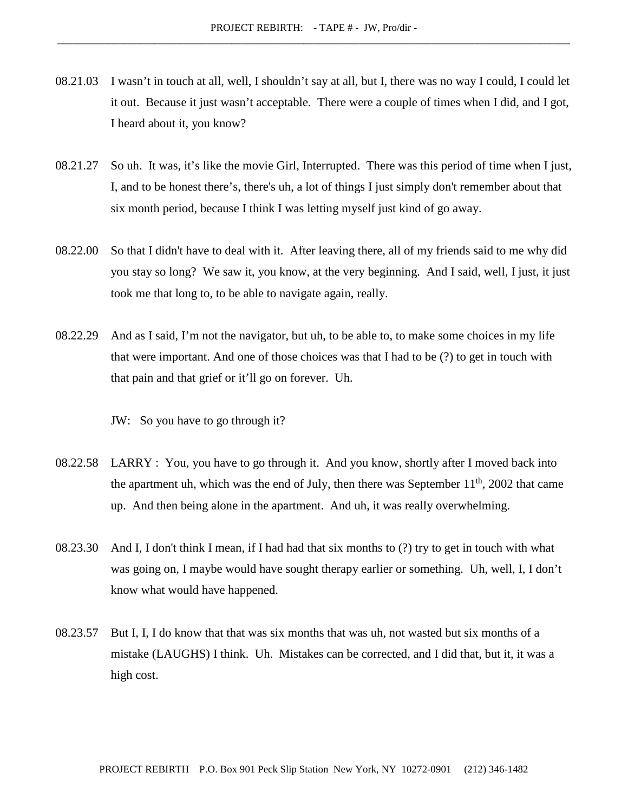- 08.21.03 I wasn't in touch at all, well, I shouldn't say at all, but I, there was no way I could, I could let it out. Because it just wasn't acceptable. There were a couple of times when I did, and I got, I heard about it, you know?
- 08.21.27 So uh. It was, it's like the movie Girl, Interrupted. There was this period of time when I just, I, and to be honest there's, there's uh, a lot of things I just simply don't remember about that six month period, because I think I was letting myself just kind of go away.
- 08.22.00 So that I didn't have to deal with it. After leaving there, all of my friends said to me why did you stay so long? We saw it, you know, at the very beginning. And I said, well, I just, it just took me that long to, to be able to navigate again, really.
- 08.22.29 And as I said, I'm not the navigator, but uh, to be able to, to make some choices in my life that were important. And one of those choices was that I had to be (?) to get in touch with that pain and that grief or it'll go on forever. Uh.
	- JW: So you have to go through it?
- 08.22.58 LARRY : You, you have to go through it. And you know, shortly after I moved back into the apartment uh, which was the end of July, then there was September  $11<sup>th</sup>$ , 2002 that came up. And then being alone in the apartment. And uh, it was really overwhelming.
- 08.23.30 And I, I don't think I mean, if I had had that six months to (?) try to get in touch with what was going on, I maybe would have sought therapy earlier or something. Uh, well, I, I don't know what would have happened.
- 08.23.57 But I, I, I do know that that was six months that was uh, not wasted but six months of a mistake (LAUGHS) I think. Uh. Mistakes can be corrected, and I did that, but it, it was a high cost.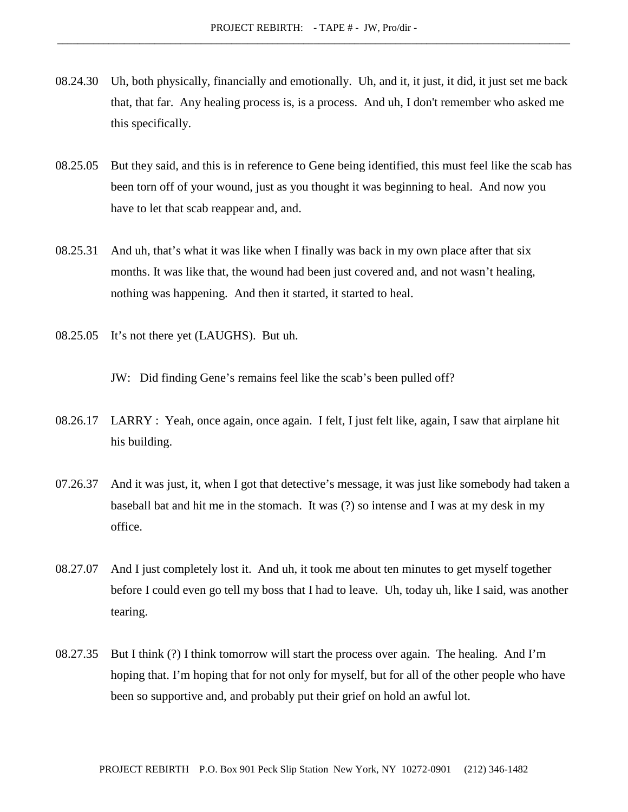- 08.24.30 Uh, both physically, financially and emotionally. Uh, and it, it just, it did, it just set me back that, that far. Any healing process is, is a process. And uh, I don't remember who asked me this specifically.
- 08.25.05 But they said, and this is in reference to Gene being identified, this must feel like the scab has been torn off of your wound, just as you thought it was beginning to heal. And now you have to let that scab reappear and, and.
- 08.25.31 And uh, that's what it was like when I finally was back in my own place after that six months. It was like that, the wound had been just covered and, and not wasn't healing, nothing was happening. And then it started, it started to heal.
- 08.25.05 It's not there yet (LAUGHS). But uh.

JW: Did finding Gene's remains feel like the scab's been pulled off?

- 08.26.17 LARRY : Yeah, once again, once again. I felt, I just felt like, again, I saw that airplane hit his building.
- 07.26.37 And it was just, it, when I got that detective's message, it was just like somebody had taken a baseball bat and hit me in the stomach. It was (?) so intense and I was at my desk in my office.
- 08.27.07 And I just completely lost it. And uh, it took me about ten minutes to get myself together before I could even go tell my boss that I had to leave. Uh, today uh, like I said, was another tearing.
- 08.27.35 But I think (?) I think tomorrow will start the process over again. The healing. And I'm hoping that. I'm hoping that for not only for myself, but for all of the other people who have been so supportive and, and probably put their grief on hold an awful lot.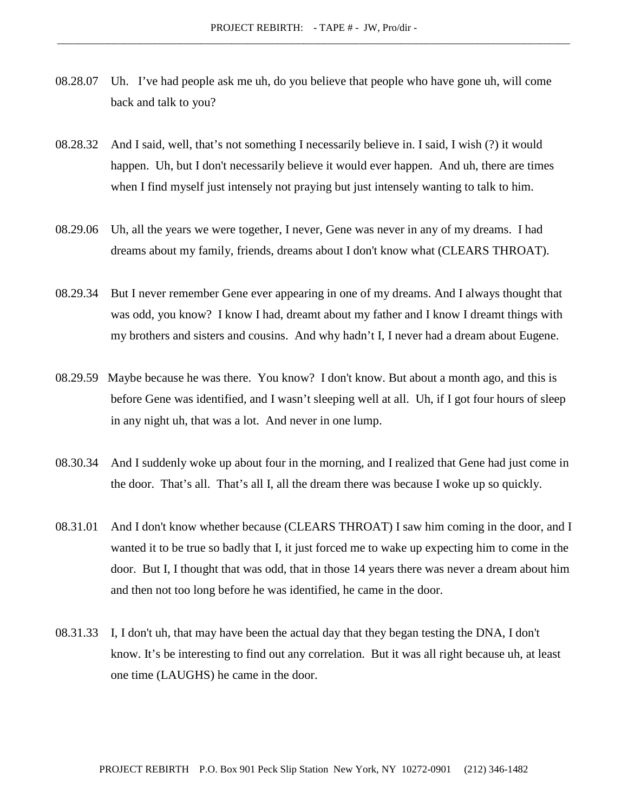- 08.28.07 Uh. I've had people ask me uh, do you believe that people who have gone uh, will come back and talk to you?
- 08.28.32 And I said, well, that's not something I necessarily believe in. I said, I wish (?) it would happen. Uh, but I don't necessarily believe it would ever happen. And uh, there are times when I find myself just intensely not praying but just intensely wanting to talk to him.
- 08.29.06 Uh, all the years we were together, I never, Gene was never in any of my dreams. I had dreams about my family, friends, dreams about I don't know what (CLEARS THROAT).
- 08.29.34 But I never remember Gene ever appearing in one of my dreams. And I always thought that was odd, you know? I know I had, dreamt about my father and I know I dreamt things with my brothers and sisters and cousins. And why hadn't I, I never had a dream about Eugene.
- 08.29.59 Maybe because he was there. You know? I don't know. But about a month ago, and this is before Gene was identified, and I wasn't sleeping well at all. Uh, if I got four hours of sleep in any night uh, that was a lot. And never in one lump.
- 08.30.34 And I suddenly woke up about four in the morning, and I realized that Gene had just come in the door. That's all. That's all I, all the dream there was because I woke up so quickly.
- 08.31.01 And I don't know whether because (CLEARS THROAT) I saw him coming in the door, and I wanted it to be true so badly that I, it just forced me to wake up expecting him to come in the door. But I, I thought that was odd, that in those 14 years there was never a dream about him and then not too long before he was identified, he came in the door.
- 08.31.33 I, I don't uh, that may have been the actual day that they began testing the DNA, I don't know. It's be interesting to find out any correlation. But it was all right because uh, at least one time (LAUGHS) he came in the door.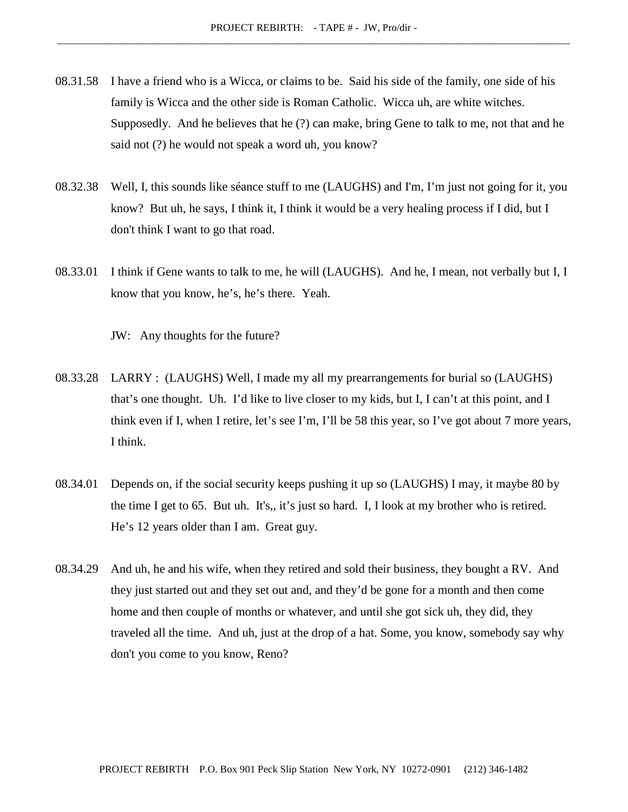- 08.31.58 I have a friend who is a Wicca, or claims to be. Said his side of the family, one side of his family is Wicca and the other side is Roman Catholic. Wicca uh, are white witches. Supposedly. And he believes that he (?) can make, bring Gene to talk to me, not that and he said not (?) he would not speak a word uh, you know?
- 08.32.38 Well, I, this sounds like séance stuff to me (LAUGHS) and I'm, I'm just not going for it, you know? But uh, he says, I think it, I think it would be a very healing process if I did, but I don't think I want to go that road.
- 08.33.01 I think if Gene wants to talk to me, he will (LAUGHS). And he, I mean, not verbally but I, I know that you know, he's, he's there. Yeah.

JW: Any thoughts for the future?

- 08.33.28 LARRY : (LAUGHS) Well, I made my all my prearrangements for burial so (LAUGHS) that's one thought. Uh. I'd like to live closer to my kids, but I, I can't at this point, and I think even if I, when I retire, let's see I'm, I'll be 58 this year, so I've got about 7 more years, I think.
- 08.34.01 Depends on, if the social security keeps pushing it up so (LAUGHS) I may, it maybe 80 by the time I get to 65. But uh. It's,, it's just so hard. I, I look at my brother who is retired. He's 12 years older than I am. Great guy.
- 08.34.29 And uh, he and his wife, when they retired and sold their business, they bought a RV. And they just started out and they set out and, and they'd be gone for a month and then come home and then couple of months or whatever, and until she got sick uh, they did, they traveled all the time. And uh, just at the drop of a hat. Some, you know, somebody say why don't you come to you know, Reno?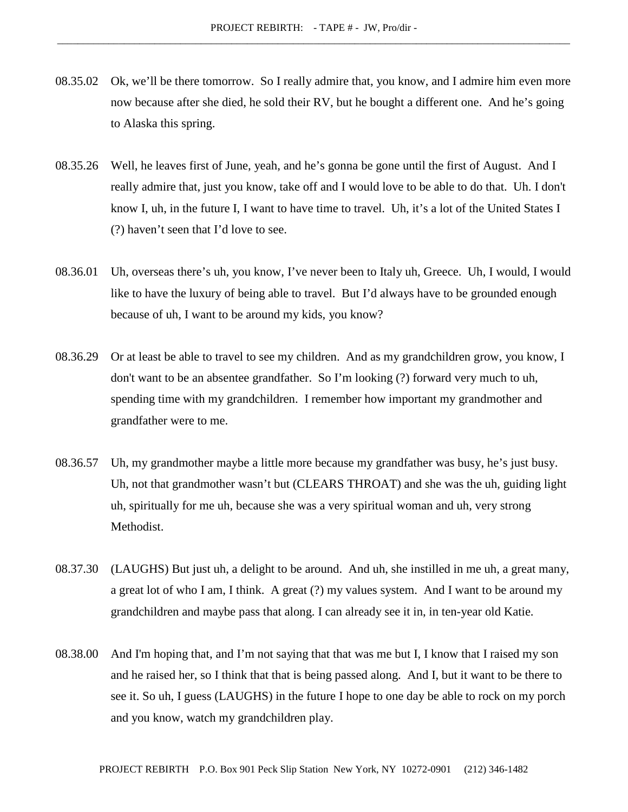- 08.35.02 Ok, we'll be there tomorrow. So I really admire that, you know, and I admire him even more now because after she died, he sold their RV, but he bought a different one. And he's going to Alaska this spring.
- 08.35.26 Well, he leaves first of June, yeah, and he's gonna be gone until the first of August. And I really admire that, just you know, take off and I would love to be able to do that. Uh. I don't know I, uh, in the future I, I want to have time to travel. Uh, it's a lot of the United States I (?) haven't seen that I'd love to see.
- 08.36.01 Uh, overseas there's uh, you know, I've never been to Italy uh, Greece. Uh, I would, I would like to have the luxury of being able to travel. But I'd always have to be grounded enough because of uh, I want to be around my kids, you know?
- 08.36.29 Or at least be able to travel to see my children. And as my grandchildren grow, you know, I don't want to be an absentee grandfather. So I'm looking (?) forward very much to uh, spending time with my grandchildren. I remember how important my grandmother and grandfather were to me.
- 08.36.57 Uh, my grandmother maybe a little more because my grandfather was busy, he's just busy. Uh, not that grandmother wasn't but (CLEARS THROAT) and she was the uh, guiding light uh, spiritually for me uh, because she was a very spiritual woman and uh, very strong Methodist.
- 08.37.30 (LAUGHS) But just uh, a delight to be around. And uh, she instilled in me uh, a great many, a great lot of who I am, I think. A great (?) my values system. And I want to be around my grandchildren and maybe pass that along. I can already see it in, in ten-year old Katie.
- 08.38.00 And I'm hoping that, and I'm not saying that that was me but I, I know that I raised my son and he raised her, so I think that that is being passed along. And I, but it want to be there to see it. So uh, I guess (LAUGHS) in the future I hope to one day be able to rock on my porch and you know, watch my grandchildren play.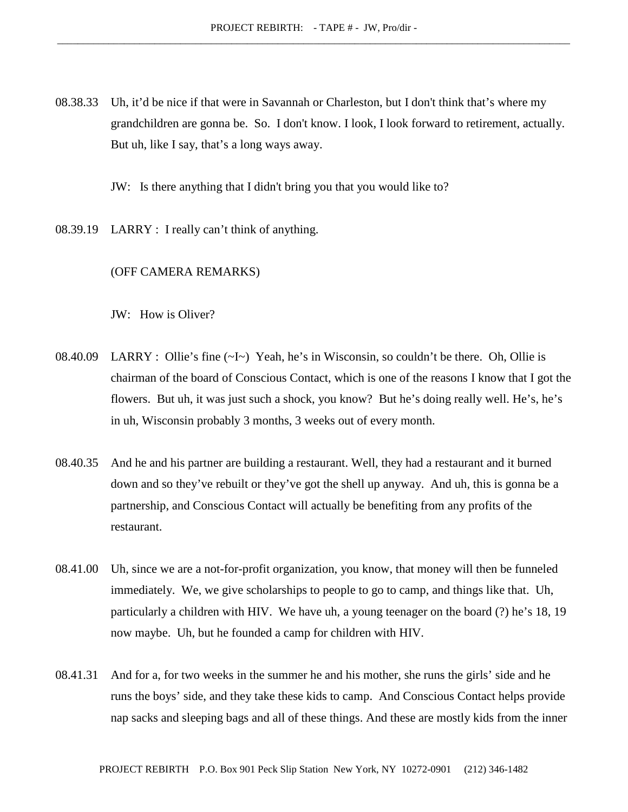08.38.33 Uh, it'd be nice if that were in Savannah or Charleston, but I don't think that's where my grandchildren are gonna be. So. I don't know. I look, I look forward to retirement, actually. But uh, like I say, that's a long ways away.

JW: Is there anything that I didn't bring you that you would like to?

08.39.19 LARRY : I really can't think of anything.

# (OFF CAMERA REMARKS)

JW: How is Oliver?

- 08.40.09 LARRY : Ollie's fine (~I~) Yeah, he's in Wisconsin, so couldn't be there. Oh, Ollie is chairman of the board of Conscious Contact, which is one of the reasons I know that I got the flowers. But uh, it was just such a shock, you know? But he's doing really well. He's, he's in uh, Wisconsin probably 3 months, 3 weeks out of every month.
- 08.40.35 And he and his partner are building a restaurant. Well, they had a restaurant and it burned down and so they've rebuilt or they've got the shell up anyway. And uh, this is gonna be a partnership, and Conscious Contact will actually be benefiting from any profits of the restaurant.
- 08.41.00 Uh, since we are a not-for-profit organization, you know, that money will then be funneled immediately. We, we give scholarships to people to go to camp, and things like that. Uh, particularly a children with HIV. We have uh, a young teenager on the board (?) he's 18, 19 now maybe. Uh, but he founded a camp for children with HIV.
- 08.41.31 And for a, for two weeks in the summer he and his mother, she runs the girls' side and he runs the boys' side, and they take these kids to camp. And Conscious Contact helps provide nap sacks and sleeping bags and all of these things. And these are mostly kids from the inner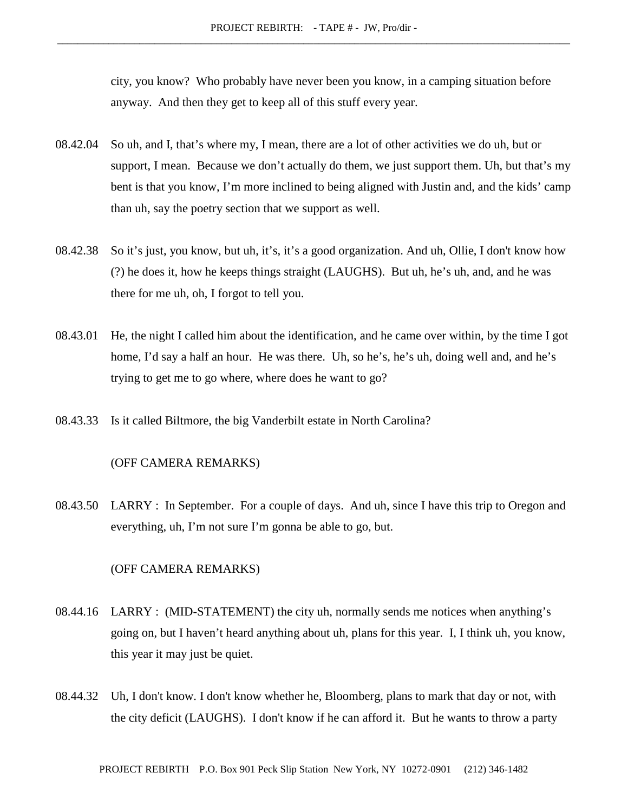city, you know? Who probably have never been you know, in a camping situation before anyway. And then they get to keep all of this stuff every year.

- 08.42.04 So uh, and I, that's where my, I mean, there are a lot of other activities we do uh, but or support, I mean. Because we don't actually do them, we just support them. Uh, but that's my bent is that you know, I'm more inclined to being aligned with Justin and, and the kids' camp than uh, say the poetry section that we support as well.
- 08.42.38 So it's just, you know, but uh, it's, it's a good organization. And uh, Ollie, I don't know how (?) he does it, how he keeps things straight (LAUGHS). But uh, he's uh, and, and he was there for me uh, oh, I forgot to tell you.
- 08.43.01 He, the night I called him about the identification, and he came over within, by the time I got home, I'd say a half an hour. He was there. Uh, so he's, he's uh, doing well and, and he's trying to get me to go where, where does he want to go?
- 08.43.33 Is it called Biltmore, the big Vanderbilt estate in North Carolina?

# (OFF CAMERA REMARKS)

08.43.50 LARRY : In September. For a couple of days. And uh, since I have this trip to Oregon and everything, uh, I'm not sure I'm gonna be able to go, but.

## (OFF CAMERA REMARKS)

- 08.44.16 LARRY : (MID-STATEMENT) the city uh, normally sends me notices when anything's going on, but I haven't heard anything about uh, plans for this year. I, I think uh, you know, this year it may just be quiet.
- 08.44.32 Uh, I don't know. I don't know whether he, Bloomberg, plans to mark that day or not, with the city deficit (LAUGHS). I don't know if he can afford it. But he wants to throw a party